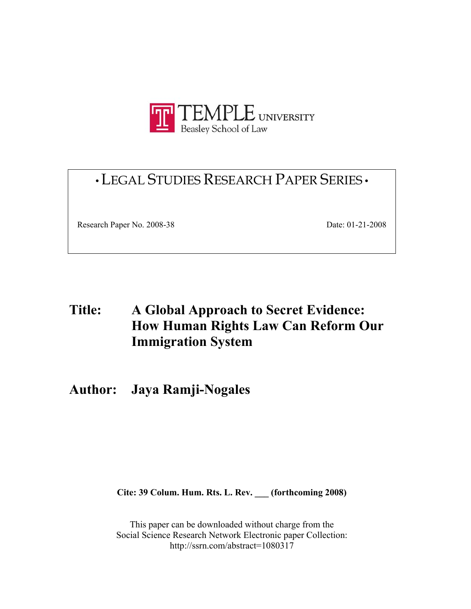

# •LEGAL STUDIES RESEARCH PAPER SERIES •

Research Paper No. 2008-38 Date: 01-21-2008

# **Title: A Global Approach to Secret Evidence: How Human Rights Law Can Reform Our Immigration System**

# **Author: Jaya Ramji-Nogales**

**Cite: 39 Colum. Hum. Rts. L. Rev. \_\_\_ (forthcoming 2008)** 

This paper can be downloaded without charge from the Social Science Research Network Electronic paper Collection: http://ssrn.com/abstract=1080317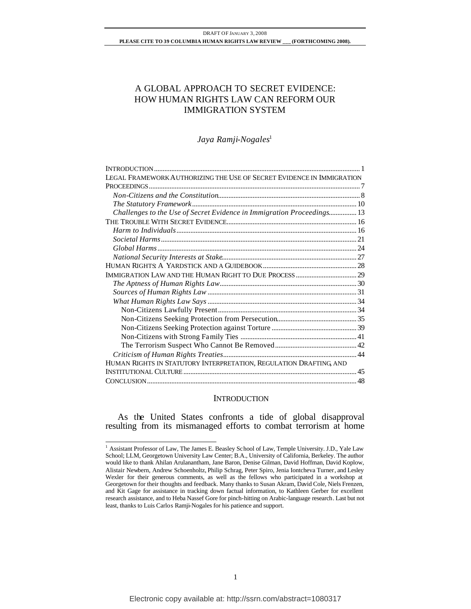# A GLOBAL APPROACH TO SECRET EVIDENCE: HOW HUMAN RIGHTS LAW CAN REFORM OUR IMMIGRATION SYSTEM

*Jaya Ramji-Nogales*<sup>1</sup>

| LEGAL FRAMEWORK AUTHORIZING THE USE OF SECRET EVIDENCE IN IMMIGRATION  |  |
|------------------------------------------------------------------------|--|
|                                                                        |  |
|                                                                        |  |
|                                                                        |  |
| Challenges to the Use of Secret Evidence in Immigration Proceedings 13 |  |
|                                                                        |  |
|                                                                        |  |
|                                                                        |  |
|                                                                        |  |
|                                                                        |  |
|                                                                        |  |
|                                                                        |  |
|                                                                        |  |
|                                                                        |  |
|                                                                        |  |
|                                                                        |  |
|                                                                        |  |
|                                                                        |  |
|                                                                        |  |
|                                                                        |  |
|                                                                        |  |
| HUMAN RIGHTS IN STATUTORY INTERPRETATION, REGULATION DRAFTING AND      |  |
|                                                                        |  |
|                                                                        |  |

# **INTRODUCTION**

As the United States confronts a tide of global disapproval resulting from its mismanaged efforts to combat terrorism at home

<sup>&</sup>lt;sup>1</sup> Assistant Professor of Law, The James E. Beasley School of Law, Temple University. J.D., Yale Law School; LLM, Georgetown University Law Center; B.A., University of California, Berkeley. The author would like to thank Ahilan Arulanantham, Jane Baron, Denise Gilman, David Hoffman, David Koplow, Alistair Newbern, Andrew Schoenholtz, Philip Schrag, Peter Spiro, Jenia Iontcheva Turner, and Lesley Wexler for their generous comments, as well as the fellows who participated in a workshop at Georgetown for their thoughts and feedback. Many thanks to Susan Akram, David Cole, Niels Frenzen, and Kit Gage for assistance in tracking down factual information, to Kathleen Gerber for excellent research assistance, and to Heba Nassef Gore for pinch-hitting on Arabic-language research. Last but not least, thanks to Luis Carlos Ramji-Nogales for his patience and support.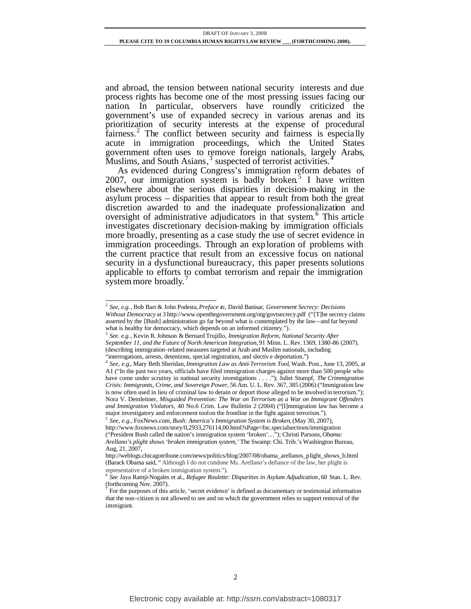and abroad, the tension between national security interests and due process rights has become one of the most pressing issues facing our nation. In particular, observers have roundly criticized the government's use of expanded secrecy in various arenas and its prioritization of security interests at the expense of procedural fairness.<sup>2</sup> The conflict between security and fairness is especially acute in immigration proceedings, which the United States government often uses to remove foreign nationals, largely Arabs, Muslims, and South Asians,<sup>3</sup> suspected of terrorist activities.<sup>4</sup>

As evidenced during Congress's immigration reform debates of 2007, our immigration system is badly broken.<sup>5</sup> I have written elsewhere about the serious disparities in decision-making in the asylum process – disparities that appear to result from both the great discretion awarded to and the inadequate professionalization and oversight of administrative adjudicators in that system. <sup>6</sup> This article investigates discretionary decision-making by immigration officials more broadly, presenting as a case study the use of secret evidence in immigration proceedings. Through an exploration of problems with the current practice that result from an excessive focus on national security in a dysfunctional bureaucracy, this paper presents solutions applicable to efforts to combat terrorism and repair the immigration system more broadly  $\frac{7}{2}$ system more broadly.

3 *See. e.g.*, Kevin R. Johnson & Bernard Trujillo, *Immigration Reform, National Security After September 11, and the Future of North American Integration,* 91 Minn. L. Rev. 1369, 1380-86 (2007). (describing immigration-related measures targeted at Arab and Muslim nationals, including "interrogations, arrests, detentions, special registration, and slectiv e deportation.")

5 *See, e.g.,* FoxNews.com, *Bush: America's Immigration System is Broken*, (May 30, 2007), http://www.foxnews.com/story/0,2933,276114,00.html?sPage=fnc.specialsections/immigration ("President Bush called the nation's immigration system 'broken'…"); Christi Parsons, *Obama: Arellano's plight shows 'broken immigration system,'* The Swamp: Chi. Trib.'s Washington Bureau, Aug, 21, 2007,

 2 *See, e.g.*, Bob Barr & John Podesta, *Preface to*, David Banisar, *Government Secrecy: Decisions Without Democracy* at 3 http://www.openthegovernment.org/otg/govtsecrecy.pdf ("[T]he secrecy claims asserted by the [Bush] administration go far beyond what is contemplated by the law—and far beyond what is healthy for democracy, which depends on an informed citizenry.").

<sup>4</sup> *See, e.g*., Mary Beth Sheridan, *Immigration Law as Anti-Terrorism Tool*, Wash. Post., June 13, 2005, at A1 ("In the past two years, officials have filed immigration charges against more than 500 people who have come under scrutiny in national security investigations . . . ."); Juliet Stumpf, *The Crimmigration Crisis: Immigrants, Crime, and Sovereign Power*, 56 Am. U. L. Rev. 367, 385 (2006) ("Immigration law is now often used in lieu of criminal law to detain or deport those alleged to be involved in terrorism."); Nora V. Demleitner, *Misguided Prevention: The War on Terrorism as a War on Immigrant Offenders and Immigration Violators*, 40 No.6 Crim. Law Bulletin 2 (2004) ("[I]mmigration law has become a major investigatory and enforcement tool on the frontline in the fight against terrorism.").

http://weblogs.chicagotribune.com/news/politics/blog/2007/08/obama\_arellanos\_plight\_shows\_b.html (Barack Obama said, " Although I do not condone Ms. Arellano's defiance of the law, her plight is representative of a broken immigration system.").

<sup>6</sup> *See* Jaya Ramji-Nogales et al., *Refugee Roulette: Disparities in Asylum Adjudication*, 60 Stan. L. Rev.  $\int_{0}^{7}$  For the numerics of this

For the purposes of this article, 'secret evidence' is defined as documentary or testimonial information that the non-citizen is not allowed to see and on which the government relies to support removal of the immigrant.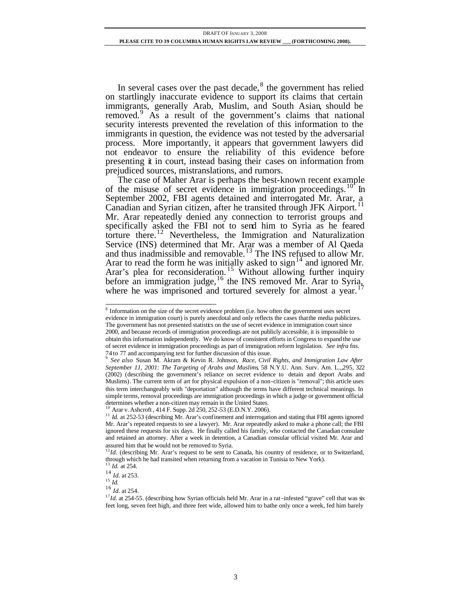In several cases over the past decade, $8$  the government has relied on startlingly inaccurate evidence to support its claims that certain immigrants, generally Arab, Muslim, and South Asian, should be removed.<sup>9</sup> As a result of the government's claims that national security interests prevented the revelation of this information to the immigrants in question, the evidence was not tested by the adversarial process. More importantly, it appears that government lawyers did not endeavor to ensure the reliability of this evidence before presenting it in court, instead basing their cases on information from prejudiced sources, mistranslations, and rumors.

The case of Maher Arar is perhaps the best-known recent example of the misuse of secret evidence in immigration proceedings.<sup>10</sup> In September 2002, FBI agents detained and interrogated Mr. Arar, a Canadian and Syrian citizen, after he transited through JFK Airport.<sup>11</sup> Mr. Arar repeatedly denied any connection to terrorist groups and specifically asked the FBI not to send him to Syria as he feared torture there.<sup>12</sup> Nevertheless, the Immigration and Naturalization Service (INS) determined that Mr. Arar was a member of Al Qaeda and thus inadmissible and removable.<sup>13</sup> The INS refused to allow Mr. Arar to read the form he was initially asked to sign<sup>14</sup> and ignored Mr. Arar's plea for reconsideration.<sup>15</sup> Without allowing further inquiry before an immigration judge,  $^{16}$  the INS removed Mr. Arar to Syria, where he was imprisoned and tortured severely for almost a year.<sup>17</sup>

<sup>&</sup>lt;sup>8</sup> Information on the size of the secret evidence problem (i.e. how often the government uses secret evidence in immigration court) is purely anecdotal and only reflects the cases that the media publicizes. The government has not presented statistics on the use of secret evidence in immigration court since 2000, and because records of immigration proceedings are not publicly accessible, it is impossible to obtain this information independently. We do know of consistent efforts in Congress to expand the use of secret evidence in immigration proceedings as part of immigration reform legislation. *See infra* fns.

<sup>74</sup> to 77 and accompanying text for further discussion of this issue. 9 *See also* Susan M. Akram & Kevin R. Johnson, *Race, Civil Rights, and Immigration Law After September 11, 2001: The Targeting of Arabs and Muslims*, 58 N.Y.U. Ann. Surv. Am. L.,,295, 322 (2002) (describing the government's reliance on secret evidence to detain and deport Arabs and Muslims). The current term of art for physical expulsion of a non-citizen is "removal"; this article uses this term interchangeably with "deportation" although the terms have different technical meanings. In simple terms, removal proceedings are immigration proceedings in which a judge or government official determines whether a non-citizen may remain in the United States.

Arar v. Ashcroft , 414 F. Supp. 2d 250, 252-53 (E.D.N.Y. 2006).

<sup>&</sup>lt;sup>11</sup> *Id.* at 252-53 (describing Mr. Arar's confinement and interrogation and stating that FBI agents ignored Mr. Arar's repeated requests to see a lawyer). Mr. Arar repeatedly asked to make a phone call; the FBI ignored these requests for six days. He finally called his family, who contacted the Canadian consulate and retained an attorney. After a week in detention, a Canadian consular official visited Mr. Arar and

assured him that he would not be removed to Syria. <sup>12</sup>*Id.* (describing Mr. Arar's request to be sent to Canada, his country of residence, or to Switzerland, through which he had transited when returning from a vacation in Tunisia to New York).

<sup>13</sup> *Id.* at 254.

<sup>14</sup> *Id.* at 253.  $15 \frac{1}{1}$ 

<sup>16</sup> *Id.* at 254.

<sup>&</sup>lt;sup>17</sup>*Id.* at 254-55. (describing how Syrian officials held Mr. Arar in a rat-infested "grave" cell that was six feet long, seven feet high, and three feet wide, allowed him to bathe only once a week, fed him barely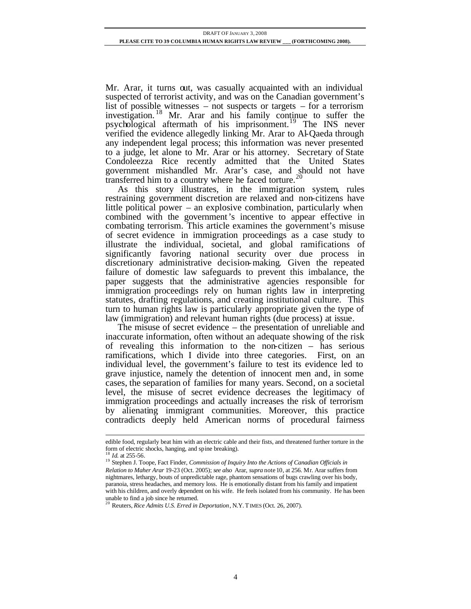Mr. Arar, it turns out, was casually acquainted with an individual suspected of terrorist activity, and was on the Canadian government's list of possible witnesses – not suspects or targets – for a terrorism investigation. <sup>18</sup> Mr. Arar and his family continue to suffer the psychological aftermath of his imprisonment.<sup>19</sup> The INS never verified the evidence allegedly linking Mr. Arar to Al-Qaeda through any independent legal process; this information was never presented to a judge, let alone to Mr. Arar or his attorney. Secretary of State Condoleezza Rice recently admitted that the United States government mishandled Mr. Arar's case, and should not have transferred him to a country where he faced torture.<sup>20</sup>

As this story illustrates, in the immigration system, rules restraining government discretion are relaxed and non-citizens have little political power – an explosive combination, particularly when combined with the government's incentive to appear effective in combating terrorism. This article examines the government's misuse of secret evidence in immigration proceedings as a case study to illustrate the individual, societal, and global ramifications of significantly favoring national security over due process in discretionary administrative decision-making. Given the repeated failure of domestic law safeguards to prevent this imbalance, the paper suggests that the administrative agencies responsible for immigration proceedings rely on human rights law in interpreting statutes, drafting regulations, and creating institutional culture. This turn to human rights law is particularly appropriate given the type of law (immigration) and relevant human rights (due process) at issue.

The misuse of secret evidence – the presentation of unreliable and inaccurate information, often without an adequate showing of the risk of revealing this information to the non-citizen – has serious ramifications, which I divide into three categories. First, on an individual level, the government's failure to test its evidence led to grave injustice, namely the detention of innocent men and, in some cases, the separation of families for many years. Second, on a societal level, the misuse of secret evidence decreases the legitimacy of immigration proceedings and actually increases the risk of terrorism by alienating immigrant communities. Moreover, this practice contradicts deeply held American norms of procedural fairness

edible food, regularly beat him with an electric cable and their fists, and threatened further torture in the form of electric shocks, hanging, and spine breaking).

*Id.* at 255-56.

<sup>&</sup>lt;sup>19</sup> Stephen J. Toope, Fact Finder, *Commission of Inquiry Into the Actions of Canadian Officials in Relation to Maher Arar* 19-23 (Oct. 2005); *see also* Arar, *supra* note10, at 256. Mr. Arar suffers from nightmares, lethargy, bouts of unpredictable rage, phantom sensations of bugs crawling over his body, paranoia, stress headaches, and memory loss. He is emotionally distant from his family and impatient with his children, and overly dependent on his wife. He feels isolated from his community. He has been

unable to find a job since he returned. <sup>20</sup> Reuters, *Rice Admits U.S. Erred in Deportation*, N.Y.TIMES (Oct. 26, 2007).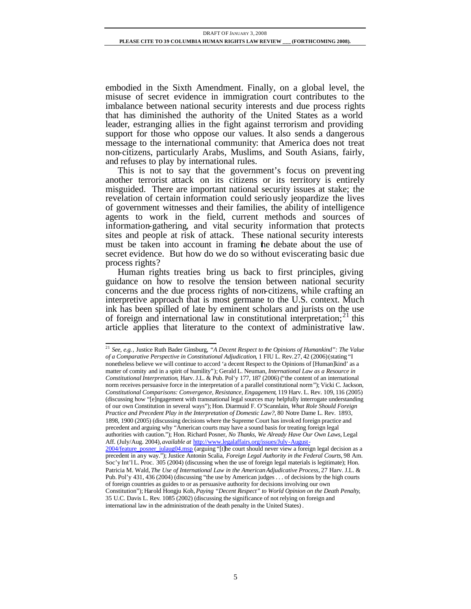embodied in the Sixth Amendment. Finally, on a global level, the misuse of secret evidence in immigration court contributes to the imbalance between national security interests and due process rights that has diminished the authority of the United States as a world leader, estranging allies in the fight against terrorism and providing support for those who oppose our values. It also sends a dangerous message to the international community: that America does not treat non-citizens, particularly Arabs, Muslims, and South Asians, fairly, and refuses to play by international rules.

This is not to say that the government's focus on preventing another terrorist attack on its citizens or its territory is entirely misguided. There are important national security issues at stake; the revelation of certain information could seriously jeopardize the lives of government witnesses and their families, the ability of intelligence agents to work in the field, current methods and sources of information-gathering, and vital security information that protects sites and people at risk of attack. These national security interests must be taken into account in framing the debate about the use of secret evidence. But how do we do so without eviscerating basic due process rights?

Human rights treaties bring us back to first principles, giving guidance on how to resolve the tension between national security concerns and the due process rights of non-citizens, while crafting an interpretive approach that is most germane to the U.S. context. Much ink has been spilled of late by eminent scholars and jurists on the use of foreign and international law in constitutional interpretation;<sup>21</sup> this article applies that literature to the context of administrative law.

<sup>21</sup> *See, e.g.*, Justice Ruth Bader Ginsburg, *"A Decent Respect to the Opinions of Humankind": The Value of a Comparative Perspective in Constitutional Adjudication*, 1 FIU L. Rev.27, 42 (2006)(stating "I nonetheless believe we will continue to accord 'a decent Respect to the Opinions of [Human]kind' as a matter of comity and in a spirit of humility"); Gerald L. Neuman, *International Law as a Resource in Constitutional Interpretation*, Harv. J.L. & Pub. Pol'y 177, 187 (2006) ("the content of an international norm receives persuasive force in the interpretation of a parallel constitutional norm"); Vicki C. Jackson, *Constitutional Comparisons: Convergence, Resistance, Engagement*, 119 Harv. L. Rev. 109, 116 (2005) (discussing how "[e]ngagement with transnational legal sources may helpfully interrogate understanding of our own Constitution in several ways"); Hon. Diarmuid F. O'Scannlain, *What Role Should Foreign Practice and Precedent Play in the Interpretation of Domestic Law?*, 80 Notre Dame L. Rev. 1893, 1898, 1900 (2005) (discussing decisions where the Supreme Court has invoked foreign practice and precedent and arguing why "American courts may have a sound basis for treating foreign legal authorities with caution."); Hon. Richard Posner, *No Thanks, We Already Have Our Own Laws*, Legal Aff. (July/Aug. 2004), *available at* http://www.legalaffairs.org/issues/July-August-2004/feature\_posner\_julaug04.msp (arguing "[t]he court should never view a foreign legal decision as a precedent in any way."); Justice Antonin Scalia, *Foreign Legal Authority in the Federal Courts*, 98 Am. Soc'y Int'l L. Proc. 305 (2004) (discussing when the use of foreign legal materials is legitimate); Hon. Patricia M. Wald, *The Use of International Law in the American Adjudicative Process*, 27 Harv. J.L. & Pub. Pol'y 431, 436 (2004) (discussing "the use by American judges . . . of decisions by the high courts of foreign countries as guides to or as persuasive authority for decisions involving our own Constitution"); Harold Hongju Koh, *Paying "Decent Respect" to World Opinion on the Death Penalty*, 35 U.C. Davis L. Rev. 1085 (2002) (discussing the significance of not relying on foreign and international law in the administration of the death penalty in the United States) .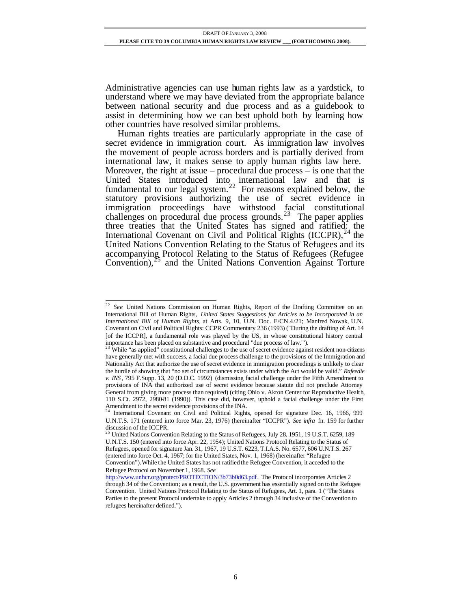Administrative agencies can use human rights law as a yardstick, to understand where we may have deviated from the appropriate balance between national security and due process and as a guidebook to assist in determining how we can best uphold both by learning how other countries have resolved similar problems.

Human rights treaties are particularly appropriate in the case of secret evidence in immigration court. As immigration law involves the movement of people across borders and is partially derived from international law, it makes sense to apply human rights law here. Moreover, the right at issue – procedural due process – is one that the United States introduced into international law and that is fundamental to our legal system.<sup>22</sup> For reasons explained below, the statutory provisions authorizing the use of secret evidence in immigration proceedings have withstood facial constitutional challenges on procedural due process grounds.<sup>23</sup> The paper applies three treaties that the United States has signed and ratified: the International Covenant on Civil and Political Rights  $(ICCPR)$ ,  $^{24}$  the United Nations Convention Relating to the Status of Refugees and its accompanying Protocol Relating to the Status of Refugees (Refugee Convention), $^{25}$  and the United Nations Convention Against Torture

l <sup>22</sup> See United Nations Commission on Human Rights, Report of the Drafting Committee on an International Bill of Human Rights, *United States Suggestions for Articles to be Incorporated in an International Bill of Human Rights*, at Arts. 9, 10, U.N. Doc. E/CN.4/21; Manfred Nowak, U.N. Covenant on Civil and Political Rights: CCPR Commentary 236 (1993) ("During the drafting of Art. 14 [of the ICCPR], a fundamental role was played by the US, in whose constitutional history central importance has been placed on substantive and procedural "due process of law.").<br><sup>23</sup> While "se genlice" substantive and procedural "due process of law.").

While "as applied" constitutional challenges to the use of secret evidence against resident non-citizens have generally met with success, a facial due process challenge to the provisions of the Immigration and Nationality Act that authorize the use of secret evidence in immigration proceedings is unlikely to clear the hurdle of showing that "no set of circumstances exists under which the Act would be valid." *Rafeedie v. INS* , 795 F.Supp. 13, 20 (D.D.C. 1992) (dismissing facial challenge under the Fifth Amendment to provisions of INA that authorized use of secret evidence because statute did not preclude Attorney General from giving more process than required) (citing Ohio v. Akron Center for Reproductive Health, 110 S.Ct. 2972, 2980-81 (1990)). This case did, however, uphold a facial challenge under the First Amendment to the secret evidence provisions of the INA.<br><sup>24</sup> International Covenant on Civil and Political Rights, opened for signature Dec. 16, 1966, 999

U.N.T.S. 171 (entered into force Mar. 23, 1976) (hereinafter "ICCPR"). *See infra* fn. 159 for further

discussion of the ICCPR.<br><sup>25</sup> United Nations Convention Relating to the Status of Refugees, July 28, 1951, 19 U.S.T. 6259, 189 U.N.T.S. 150 (entered into force Apr. 22, 1954); United Nations Protocol Relating to the Status of Refugees, opened for signature Jan. 31, 1967, 19 U.S.T. 6223, T.I.A.S. No. 6577, 606 U.N.T.S. 267 (entered into force Oct. 4, 1967; for the United States, Nov. 1, 1968) (hereinafter "Refugee Convention"). While the United States has not ratified the Refugee Convention, it acceded to the Refugee Protocol on November 1, 1968. *See* 

http://www.unhcr.org/protect/PROTECTION/3b73b0d63.pdf. The Protocol incorporates Articles 2 through 34 of the Convention; as a result, the U.S. government has essentially signed on to the Refugee Convention. United Nations Protocol Relating to the Status of Refugees, Art. 1, para. 1 ("The States Parties to the present Protocol undertake to apply Articles 2 through 34 inclusive of the Convention to refugees hereinafter defined.").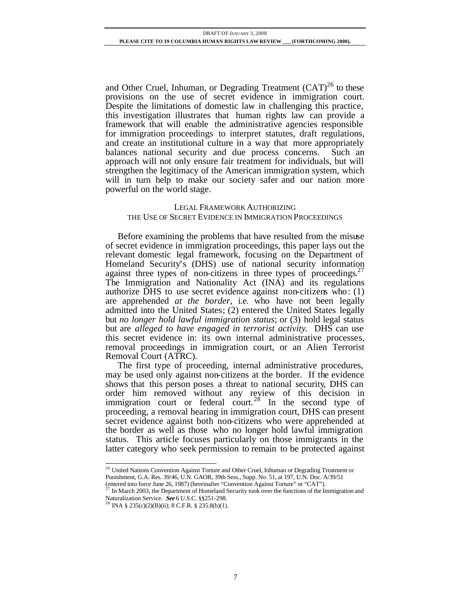and Other Cruel, Inhuman, or Degrading Treatment  $(CAT)^{26}$  to these provisions on the use of secret evidence in immigration court. Despite the limitations of domestic law in challenging this practice, this investigation illustrates that human rights law can provide a framework that will enable the administrative agencies responsible for immigration proceedings to interpret statutes, draft regulations, and create an institutional culture in a way that more appropriately balances national security and due process concerns. Such an approach will not only ensure fair treatment for individuals, but will strengthen the legitimacy of the American immigration system, which will in turn help to make our society safer and our nation more powerful on the world stage.

# LEGAL FRAMEWORK AUTHORIZING THE USE OF SECRET EVIDENCE IN IMMIGRATION PROCEEDINGS

Before examining the problems that have resulted from the misuse of secret evidence in immigration proceedings, this paper lays out the relevant domestic legal framework, focusing on the Department of Homeland Security's (DHS) use of national security information against three types of non-citizens in three types of proceedings. $27$ The Immigration and Nationality Act (INA) and its regulations authorize DHS to use secret evidence against non-citizens who: (1) are apprehended *at the border*, i.e. who have not been legally admitted into the United States; (2) entered the United States legally but *no longer hold lawful immigration status*; or (3) hold legal status but are *alleged to have engaged in terrorist activity*. DHS can use this secret evidence in: its own internal administrative processes, removal proceedings in immigration court, or an Alien Terrorist Removal Court (ATRC).

The first type of proceeding, internal administrative procedures, may be used only against non-citizens at the border. If the evidence shows that this person poses a threat to national security, DHS can order him removed without any review of this decision in immigration court or federal court.<sup>28</sup> In the second type of proceeding, a removal hearing in immigration court, DHS can present secret evidence against both non-citizens who were apprehended at the border as well as those who no longer hold lawful immigration status. This article focuses particularly on those immigrants in the latter category who seek permission to remain to be protected against

<sup>&</sup>lt;sup>26</sup> United Nations Convention Against Torture and Other Cruel, Inhuman or Degrading Treatment or Punishment, G.A. Res. 39/46, U.N. GAOR, 39th Sess., Supp. No. 51, at 197, U.N. Doc. A/39/51

<sup>(</sup>entered into force June 26, 1987) (hereinafter "Convention Against Torture" or "CAT").

In March 2003, the Department of Homeland Security took over the functions of the Immigration and Naturalization Service. *See* 6 U.S.C. §§251-298.<br><sup>28</sup> INA § 235(c)(2)(B)(ii); 8 C.F.R. § 235.8(b)(1).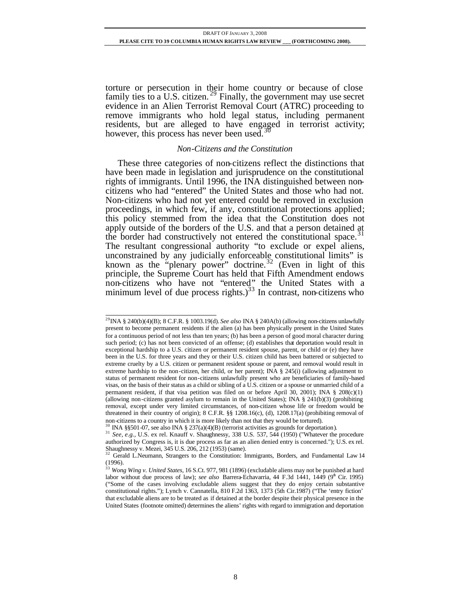torture or persecution in their home country or because of close family ties to a U.S. citizen.<sup>29</sup> Finally, the government may use secret evidence in an Alien Terrorist Removal Court (ATRC) proceeding to remove immigrants who hold legal status, including permanent residents, but are alleged to have engaged in terrorist activity; however, this process has never been used.<sup>3</sup>

#### *Non-Citizens and the Constitution*

These three categories of non-citizens reflect the distinctions that have been made in legislation and jurisprudence on the constitutional rights of immigrants. Until 1996, the INA distinguished between noncitizens who had "entered" the United States and those who had not. Non-citizens who had not yet entered could be removed in exclusion proceedings, in which few, if any, constitutional protections applied; this policy stemmed from the idea that the Constitution does not apply outside of the borders of the U.S. and that a person detained at the border had constructively not entered the constitutional space.<sup>31</sup> The resultant congressional authority "to exclude or expel aliens, unconstrained by any judicially enforceable constitutional limits" is known as the "plenary power" doctrine.<sup>32</sup> (Even in light of this principle, the Supreme Court has held that Fifth Amendment endows non-citizens who have not "entered" the United States with a minimum level of due process rights.)<sup>33</sup> In contrast, non-citizens who

l <sup>29</sup>INA § 240(b)(4)(B); 8 C.F.R. § 1003.19(d). *See also* INA § 240A(b) (allowing non-citizens unlawfully present to become permanent residents if the alien (a) has been physically present in the United States for a continuous period of not less than ten years; (b) has been a person of good moral character during such period; (c) has not been convicted of an offense; (d) establishes that deportation would result in exceptional hardship to a U.S. citizen or permanent resident spouse, parent, or child or (e) they have been in the U.S. for three years and they or their U.S. citizen child has been battered or subjected to extreme cruelty by a U.S. citizen or permanent resident spouse or parent, and removal would result in extreme hardship to the non-citizen, her child, or her parent); INA § 245(i) (allowing adjustment to status of permanent resident for non-citizens unlawfully present who are beneficiaries of family-based visas, on the basis of their status as a child or sibling of a U.S. citizen or a spouse or unmarried child of a permanent resident, if that visa petition was filed on or before April 30, 2001); INA § 208(c)(1) (allowing non-citizens granted asylum to remain in the United States); INA § 241(b)(3) (prohibiting removal, except under very limited circumstances, of non-citizen whose life or freedom would be threatened in their country of origin); 8 C.F.R. §§ 1208.16(c), (d), 1208.17(a) (prohibiting removal of non-citizens to a country in which it is more likely than not that they would be tortured).

INA §§501-07, see also INA § 237(a)(4)(B) (terrorist activities as grounds for deportation).

<sup>&</sup>lt;sup>31</sup> *See, e.g.*, U.S. ex rel. Knauff v. Shaughnessy, 338 U.S. 537, 544 (1950) ("Whatever the procedure authorized by Congress is, it is due process as far as an alien denied entry is concerned."); U.S. ex rel. Shaughnessy v. Mezei, 345 U.S. 206, 212 (1953) (same).<br> $\frac{32}{32}$  Corril 1 N.

<sup>32</sup> Gerald L.Neumann, Strangers to the Constitution: Immigrants, Borders, and Fundamental Law 14 (1996).

<sup>33</sup> *Wong Wing v. United States*, 16 S.Ct. 977, 981 (1896) (excludable aliens may not be punished at hard labor without due process of law); see also Barrera-Echavarria, 44 F.3d 1441, 1449 (9<sup>th</sup> Cir. 1995) ("Some of the cases involving excludable aliens suggest that they do enjoy certain substantive constitutional rights."); Lynch v. Cannatella, 810 F.2d 1363, 1373 (5th Cir.1987) ("The 'entry fiction' that excludable aliens are to be treated as if detained at the border despite their physical presence in the United States (footnote omitted) determines the aliens' rights with regard to immigration and deportation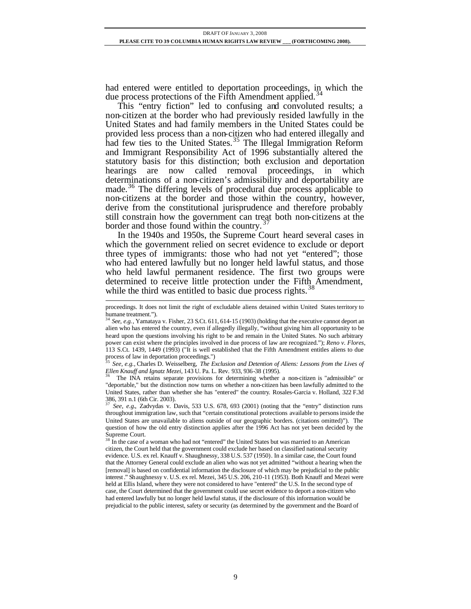had entered were entitled to deportation proceedings, in which the due process protections of the Fifth Amendment applied.<sup>3</sup>

This "entry fiction" led to confusing and convoluted results; a non-citizen at the border who had previously resided lawfully in the United States and had family members in the United States could be provided less process than a non-citizen who had entered illegally and had few ties to the United States.<sup>35</sup> The Illegal Immigration Reform and Immigrant Responsibility Act of 1996 substantially altered the statutory basis for this distinction; both exclusion and deportation hearings are now called removal proceedings, in which determinations of a non-citizen's admissibility and deportability are made.<sup>36</sup> The differing levels of procedural due process applicable to non-citizens at the border and those within the country, however, derive from the constitutional jurisprudence and therefore probably still constrain how the government can treat both non-citizens at the border and those found within the country.<sup>3</sup>

In the 1940s and 1950s, the Supreme Court heard several cases in which the government relied on secret evidence to exclude or deport three types of immigrants: those who had not yet "entered"; those who had entered lawfully but no longer held lawful status, and those who held lawful permanent residence. The first two groups were determined to receive little protection under the Fifth Amendment, while the third was entitled to basic due process rights.<sup>38</sup>

proceedings. It does not limit the right of excludable aliens detained within United States territory to humane treatment.").

<sup>&</sup>lt;sup>34</sup> See, e.g., Yamataya v. Fisher, 23 S.Ct. 611, 614-15 (1903) (holding that the executive cannot deport an alien who has entered the country, even if allegedly illegally, "without giving him all opportunity to be heard upon the questions involving his right to be and remain in the United States. No such arbitrary power can exist where the principles involved in due process of law are recognized."); *Reno v. Flores*, 113 S.Ct. 1439, 1449 (1993) ("It is well established that the Fifth Amendment entitles aliens to due process of law in deportation proceedings.")

<sup>35</sup> *See, e.g.,* Charles D. Weisselberg, *The Exclusion and Detention of Aliens: Lessons from the Lives of Ellen Knauff and Ignatz Mezei*, 143 U. Pa. L. Rev. 933, 936-38 (1995).

<sup>36</sup> The INA retains separate provisions for determining whether a non-citizen is "admissible" or "deportable," but the distinction now turns on whether a non-citizen has been lawfully admitted to the United States, rather than whether she has "entered" the country. Rosales-Garcia v. Holland, 322 F.3d 386, 391 n.1 (6th Cir. 2003).

<sup>37</sup> *See, e.g.*, Zadvydas v. Davis, 533 U.S. 678, 693 (2001) (noting that the "entry" distinction runs throughout immigration law, such that "certain constitutional protections available to persons inside the United States are unavailable to aliens outside of our geographic borders. (citations omitted)"). The question of how the old entry distinction applies after the 1996 Act has not yet been decided by the Supreme Court.

<sup>&</sup>lt;sup>38</sup> In the case of a woman who had not "entered" the United States but was married to an American citizen, the Court held that the government could exclude her based on classified national security evidence. U.S. ex rel. Knauff v. Shaughnessy, 338 U.S. 537 (1950). In a similar case, the Court found that the Attorney General could exclude an alien who was not yet admitted "without a hearing when the [removal] is based on confidential information the disclosure of which may be prejudicial to the public interest ." Shaughnessy v. U.S. ex rel. Mezei, 345 U.S. 206, 210-11 (1953). Both Knauff and Mezei were held at Ellis Island, where they were not considered to have "entered" the U.S. In the second type of case, the Court determined that the government could use secret evidence to deport a non-citizen who had entered lawfully but no longer held lawful status, if the disclosure of this information would be prejudicial to the public interest, safety or security (as determined by the government and the Board of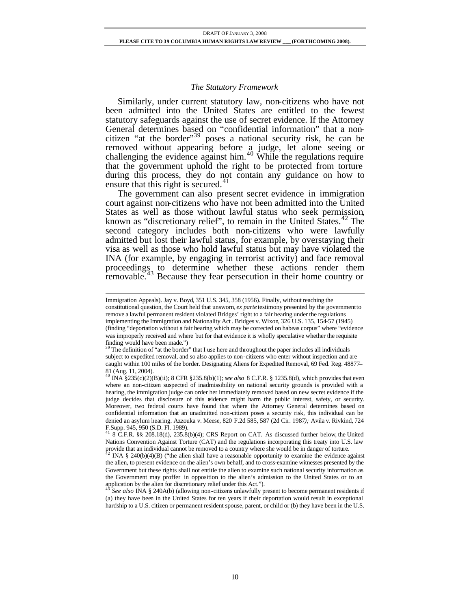#### *The Statutory Framework*

Similarly, under current statutory law, non-citizens who have not been admitted into the United States are entitled to the fewest statutory safeguards against the use of secret evidence. If the Attorney General determines based on "confidential information" that a noncitizen "at the border"<sup>39</sup> poses a national security risk, he can be removed without appearing before a judge, let alone seeing or challenging the evidence against him.<sup>40</sup> While the regulations require that the government uphold the right to be protected from torture during this process, they do not contain any guidance on how to ensure that this right is secured. $41$ 

The government can also present secret evidence in immigration court against non-citizens who have not been admitted into the United States as well as those without lawful status who seek permission, known as "discretionary relief", to remain in the United States. $42$  The second category includes both non-citizens who were lawfully admitted but lost their lawful status, for example, by overstaying their visa as well as those who hold lawful status but may have violated the INA (for example, by engaging in terrorist activity) and face removal proceedings to determine whether these actions render them removable.<sup>43</sup> Because they fear persecution in their home country or

Immigration Appeals). Jay v. Boyd, 351 U.S. 345, 358 (1956). Finally, without reaching the constitutional question, the Court held that unsworn, *ex parte* testimony presented by the government to remove a lawful permanent resident violated Bridges' right to a fair hearing under the regulations implementing the Immigration and Nationality Act . Bridges v. Wixon, 326 U.S. 135, 154-57 (1945) (finding "deportation without a fair hearing which may be corrected on habeas corpus" where "evidence was improperly received and where but for that evidence it is wholly speculative whether the requisite finding would have been made.")

The definition of "at the border" that I use here and throughout the paper includes all individuals subject to expedited removal, and so also applies to non-citizens who enter without inspection and are caught within 100 miles of the border. Designating Aliens for Expedited Removal, 69 Fed. Reg. 48877– 81 (Aug. 11, 2004). <sup>40</sup> INA §235(c)(2)(B)(ii); 8 CFR §235.8(b)(1); *see also* 8 C.F.R. § 1235.8(d), which provides that even

where an non-citizen suspected of inadmissibility on national security grounds is provided with a hearing, the immigration judge can order her immediately removed based on new secret evidence if the judge decides that disclosure of this evidence might harm the public interest, safety, or security. Moreover, two federal courts have found that where the Attorney General determines based on confidential information that an unadmitted non-citizen poses a security risk, this individual can be denied an asylum hearing. Azzouka v. Meese, 820 F.2d 585, 587 (2d Cir. 1987*);* Avila v. Rivkind, 724 F.Supp. 945, 950 (S.D. Fl. 1989).

<sup>41</sup> 8 C.F.R. §§ 208.18(d), 235.8(b)(4); CRS Report on CAT. As discussed further below, the United Nations Convention Against Torture (CAT) and the regulations incorporating this treaty into U.S. law provide that an individual cannot be removed to a country where she would be in danger of torture.<br><sup>42</sup> INA 8.240GN/A/DN (446 Figure 1. 11.1)

INA § 240(b)(4)(B) ("the alien shall have a reasonable opportunity to examine the evidence against the alien, to present evidence on the alien's own behalf, and to cross-examine witnesses presented by the Government but these rights shall not entitle the alien to examine such national security information as the Government may proffer in opposition to the alien's admission to the United States or to an application by the alien for discretionary relief under this Act.").

<sup>43</sup> *See also* INA § 240A(b) (allowing non-citizens unlawfully present to become permanent residents if (a) they have been in the United States for ten years if their deportation would result in exceptional hardship to a U.S. citizen or permanent resident spouse, parent, or child or (b) they have been in the U.S.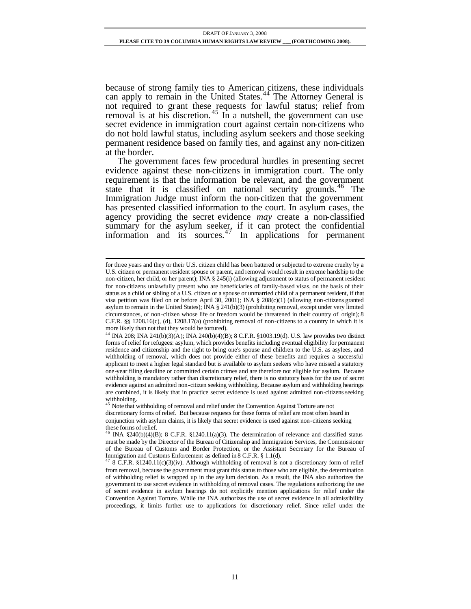because of strong family ties to American citizens, these individuals can apply to remain in the United States.<sup>44</sup> The Attorney General is not required to grant these requests for lawful status; relief from removal is at his discretion.<sup>45</sup> In a nutshell, the government can use secret evidence in immigration court against certain non-citizens who do not hold lawful status, including asylum seekers and those seeking permanent residence based on family ties, and against any non-citizen at the border.

The government faces few procedural hurdles in presenting secret evidence against these non-citizens in immigration court. The only requirement is that the information be relevant, and the government state that it is classified on national security grounds.<sup>46</sup> The Immigration Judge must inform the non-citizen that the government has presented classified information to the court. In asylum cases, the agency providing the secret evidence *may* create a non-classified summary for the asylum seeker, if it can protect the confidential information and its sources. $47$  In applications for permanent

l for three years and they or their U.S. citizen child has been battered or subjected to extreme cruelty by a U.S. citizen or permanent resident spouse or parent, and removal would result in extreme hardship to the non-citizen, her child, or her parent); INA § 245(i) (allowing adjustment to status of permanent resident for non-citizens unlawfully present who are beneficiaries of family-based visas, on the basis of their status as a child or sibling of a U.S. citizen or a spouse or unmarried child of a permanent resident, if that visa petition was filed on or before April 30, 2001); INA § 208(c)(1) (allowing non-citizens granted asylum to remain in the United States); INA § 241(b)(3) (prohibiting removal, except under very limited circumstances, of non-citizen whose life or freedom would be threatened in their country of origin); 8 C.F.R. §§ 1208.16(c), (d), 1208.17(a) (prohibiting removal of non-citizens to a country in which it is more likely than not that they would be tortured).

<sup>44</sup> INA 208; INA 241(b)(3)(A); INA 240(b)(4)(B); 8 C.F.R. §1003.19(d). U.S. law provides two distinct forms of relief for refugees: asylum, which provides benefits including eventual eligibility for permanent residence and citizenship and the right to bring one's spouse and children to the U.S. as asylees, and withholding of removal, which does not provide either of these benefits and requires a successful applicant to meet a higher legal standard but is available to asylum seekers who have missed a statutory one-year filing deadline or committed certain crimes and are therefore not eligible for asylum. Because withholding is mandatory rather than discretionary relief, there is no statutory basis for the use of secret evidence against an admitted non-citizen seeking withholding. Because asylum and withholding hearings are combined, it is likely that in practice secret evidence is used against admitted non-citizens seeking withholding.

 $\frac{1}{5}$  Note that withholding of removal and relief under the Convention Against Torture are not discretionary forms of relief. But because requests for these forms of relief are most often heard in conjunction with asylum claims, it is likely that secret evidence is used against non-citizens seeking these forms of relief.

INA  $\S 240(b)(4)(B)$ ; 8 C.F.R.  $\S 1240.11(a)(3)$ . The determination of relevance and classified status must be made by the Director of the Bureau of Citizenship and Immigration Services, the Commissioner of the Bureau of Customs and Border Protection, or the Assistant Secretary for the Bureau of Immigration and Customs Enforcement as defined in 8 C.F.R.  $\S$  1.1(d).

<sup>47</sup> 8 C.F.R. §1240.11(c)(3)(iv). Although withholding of removal is not a discretionary form of relief from removal, because the government must grant this status to those who are eligible, the determination of withholding relief is wrapped up in the asy lum decision. As a result, the INA also authorizes the government to use secret evidence in withholding of removal cases. The regulations authorizing the use of secret evidence in asylum hearings do not explicitly mention applications for relief under the Convention Against Torture. While the INA authorizes the use of secret evidence in all admissibility proceedings, it limits further use to applications for discretionary relief. Since relief under the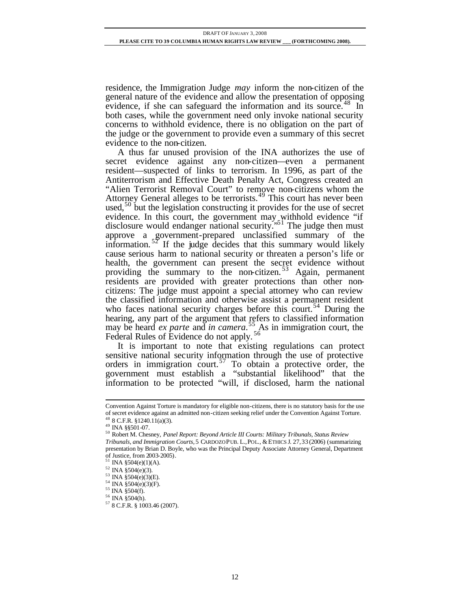residence, the Immigration Judge *may* inform the non-citizen of the general nature of the evidence and allow the presentation of opposing evidence, if she can safeguard the information and its source.<sup>48</sup> In both cases, while the government need only invoke national security concerns to withhold evidence, there is no obligation on the part of the judge or the government to provide even a summary of this secret evidence to the non-citizen.

A thus far unused provision of the INA authorizes the use of secret evidence against any non-citizen—even a permanent resident—suspected of links to terrorism. In 1996, as part of the Antiterrorism and Effective Death Penalty Act, Congress created an "Alien Terrorist Removal Court" to remove non-citizens whom the Attorney General alleges to be terrorists. $49$  This court has never been used,<sup>50</sup> but the legislation constructing it provides for the use of secret evidence. In this court, the government may withhold evidence "if disclosure would endanger national security."<sup>51</sup> The judge then must approve a government-prepared unclassified summary of the information.<sup>52</sup> If the judge decides that this summary would likely cause serious harm to national security or threaten a person's life or health, the government can present the secret evidence without providing the summary to the non-citizen. <sup>53</sup> Again, permanent residents are provided with greater protections than other noncitizens: The judge must appoint a special attorney who can review the classified information and otherwise assist a permanent resident who faces national security charges before this court.<sup>54</sup> During the hearing, any part of the argument that refers to classified information may be heard *ex parte* and *in camera*.<sup>55</sup> As in immigration court, the Federal Rules of Evidence do not apply.<sup>56</sup>

It is important to note that existing regulations can protect sensitive national security information through the use of protective orders in immigration court.<sup>57</sup> To obtain a protective order, the government must establish a "substantial likelihood" that the information to be protected "will, if disclosed, harm the national

Convention Against Torture is mandatory for eligible non-citizens, there is no statutory basis for the use of secret evidence against an admitted non-citizen seeking relief under the Convention Against Torture.  $48$  8 C.F.R. §1240.11(a)(3).

<sup>49</sup> INA §§501-07.

<sup>50</sup> Robert M. Chesney, *Panel Report: Beyond Article III Courts: Military Tribunals, Status Review* 

*Tribunals, and Immigration Courts, 5 CARDOZOPUB. L., POL., & ETHICS J. 27, 33 (2006) (summarizing* presentation by Brian D. Boyle, who was the Principal Deputy Associate Attorney General, Department of Justice, from  $2003-2005$ ).

INA  $$504(e)(1)(A)$ .

 $52$  INA  $\S 504(e)(3)$ .

<sup>53</sup> INA §504(e)(3)(E).

<sup>54</sup> INA §504(e)(3)(F).

<sup>55</sup> INA §504(f).

<sup>56</sup> INA §504(h).

<sup>57</sup> 8 C.F.R. § 1003.46 (2007).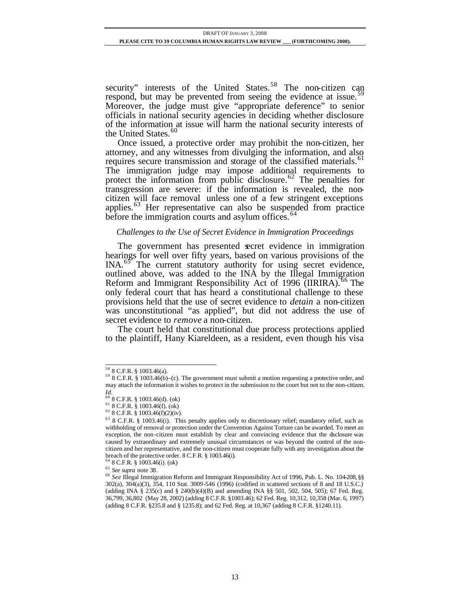security" interests of the United States.<sup>58</sup> The non-citizen can respond, but may be prevented from seeing the evidence at issue.<sup>5</sup> Moreover, the judge must give "appropriate deference" to senior officials in national security agencies in deciding whether disclosure of the information at issue will harm the national security interests of the United States.<sup>60</sup>

Once issued, a protective order may prohibit the non-citizen, her attorney, and any witnesses from divulging the information, and also requires secure transmission and storage of the classified materials.<sup>61</sup> The immigration judge may impose additional requirements to protect the information from public disclosure.<sup>62</sup> The penalties for transgression are severe: if the information is revealed, the noncitizen will face removal unless one of a few stringent exceptions applies. $63$  Her representative can also be suspended from practice before the immigration courts and asylum offices.<sup>64</sup>

#### *Challenges to the Use of Secret Evidence in Immigration Proceedings*

The government has presented secret evidence in immigration hearings for well over fifty years, based on various provisions of the INA.<sup>65</sup> The current statutory authority for using secret evidence, outlined above, was added to the INA by the Illegal Immigration Reform and Immigrant Responsibility Act of 1996 (IIRIRA).<sup>66</sup> The only federal court that has heard a constitutional challenge to these provisions held that the use of secret evidence to *detain* a non-citizen was unconstitutional "as applied", but did not address the use of secret evidence to *remove* a non-citizen.

The court held that constitutional due process protections applied to the plaintiff, Hany Kiareldeen, as a resident, even though his visa

l <sup>58</sup> 8 C.F.R. § 1003.46(a).

 $59$  8 C.F.R. § 1003.46(b)–(c). The government must submit a motion requesting a protective order, and may attach the information it wishes to protect in the submission to the court but not to the non-citizen.

*Id.*<br><sup>60</sup> 8 C.F.R. § 1003.46(d). (ok)

 $61$  8 C.F.R. § 1003.46(f). (ok)

 $62$  8 C.F.R. § 1003.46(f)(2)(iv).

<sup>63</sup> 8 C.F.R. § 1003.46(i). This penalty applies only to discretionary relief; mandatory relief, such as withholding of removal or protection under the Convention Against Torture can be awarded. To meet an exception, the non-citizen must establish by clear and convincing evidence that the disclosure was caused by extraordinary and extremely unusual circumstances or was beyond the control of the noncitizen and her representative, and the non-citizen must cooperate fully with any investigation about the breach of the protective order. 8 C.F.R. § 1003.46(i).

 $6^{4}$  8 C.F.R. § 1003.46(i). (ok)

<sup>65</sup> *See supra* note 38.

<sup>66</sup> *See* Illegal Immigration Reform and Immigrant Responsibility Act of 1996, Pub. L. No. 104-208, §§ 302(a), 304(a)(3), 354, 110 Stat. 3009-546 (1996) (codified in scattered sections of 8 and 18 U.S.C.) (adding INA § 235(c) and § 240(b)(4)(B) and amending INA §§ 501, 502, 504, 505); 67 Fed. Reg. 36,799, 36,802 (May 28, 2002) (adding 8 C.F.R. §1003.46); 62 Fed. Reg. 10,312, 10,358 (Mar. 6, 1997) (adding 8 C.F.R. §235.8 and § 1235.8); and 62 Fed. Reg. at 10,367 (adding 8 C.F.R. §1240.11).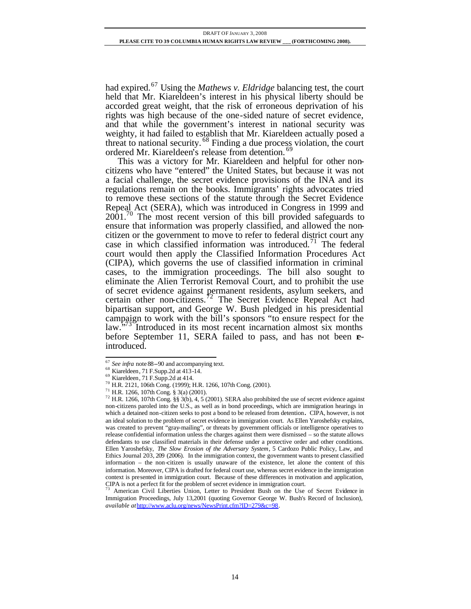had expired.<sup>67</sup> Using the *Mathews v. Eldridge* balancing test, the court held that Mr. Kiareldeen's interest in his physical liberty should be accorded great weight, that the risk of erroneous deprivation of his rights was high because of the one-sided nature of secret evidence, and that while the government's interest in national security was weighty, it had failed to establish that Mr. Kiareldeen actually posed a threat to national security.<sup>68</sup> Finding a due process violation, the court ordered Mr. Kiareldeen's release from detention.<sup>6</sup>

This was a victory for Mr. Kiareldeen and helpful for other noncitizens who have "entered" the United States, but because it was not a facial challenge, the secret evidence provisions of the INA and its regulations remain on the books. Immigrants' rights advocates tried to remove these sections of the statute through the Secret Evidence Repeal Act (SERA), which was introduced in Congress in 1999 and  $2001<sup>70</sup>$  The most recent version of this bill provided safeguards to ensure that information was properly classified, and allowed the noncitizen or the government to move to refer to federal district court any case in which classified information was introduced.<sup>71</sup> The federal court would then apply the Classified Information Procedures Act (CIPA), which governs the use of classified information in criminal cases, to the immigration proceedings. The bill also sought to eliminate the Alien Terrorist Removal Court, and to prohibit the use of secret evidence against permanent residents, asylum seekers, and certain other non-citizens.<sup>72</sup> The Secret Evidence Repeal Act had bipartisan support, and George W. Bush pledged in his presidential campaign to work with the bill's sponsors "to ensure respect for the law.<sup>573</sup> Introduced in its most recent incarnation almost six months before September 11, SERA failed to pass, and has not been **e**introduced.

<sup>67</sup> *See infra* note 88--90 and accompanying text.

<sup>68</sup> Kiareldeen, 71 F.Supp.2d at 413-14.

<sup>69</sup> Kiareldeen, 71 F.Supp.2d at 414.

<sup>70</sup> H.R. 2121, 106th Cong. (1999); H.R. 1266, 107th Cong. (2001).

<sup>71</sup> H.R. 1266, 107th Cong. § 3(a) (2001).

<sup>&</sup>lt;sup>72</sup> H.R. 1266, 107th Cong. §§ 3(b), 4, 5 (2001). SERA also prohibited the use of secret evidence against non-citizens paroled into the U.S., as well as in bond proceedings, which are immigration hearings in which a detained non-citizen seeks to post a bond to be released from detention**.** CIPA, however, is not an ideal solution to the problem of secret evidence in immigration court. As Ellen Yaroshefsky explains, was created to prevent "gray-mailing", or threats by government officials or intelligence operatives to release confidential information unless the charges against them were dismissed – so the statute allows defendants to use classified materials in their defense under a protective order and other conditions. Ellen Yaroshefsky, *The Slow Erosion of the Adversary System*, 5 Cardozo Public Policy, Law, and Ethics Journal 203, 209 (2006). In the immigration context, the government wants to present classified information – the non-citizen is usually unaware of the existence, let alone the content of this information. Moreover, CIPA is drafted for federal court use, whereas secret evidence in the immigration context is presented in immigration court. Because of these differences in motivation and application,

CIPA is not a perfect fit for the problem of secret evidence in immigration court. <sup>73</sup> American Civil Liberties Union, Letter to President Bush on the Use of Secret Evidence in Immigration Proceedings, July 13,2001 (quoting Governor George W. Bush's Record of Inclusion), *available at*http://www.aclu.org/news/NewsPrint.cfm?ID=279&c=98.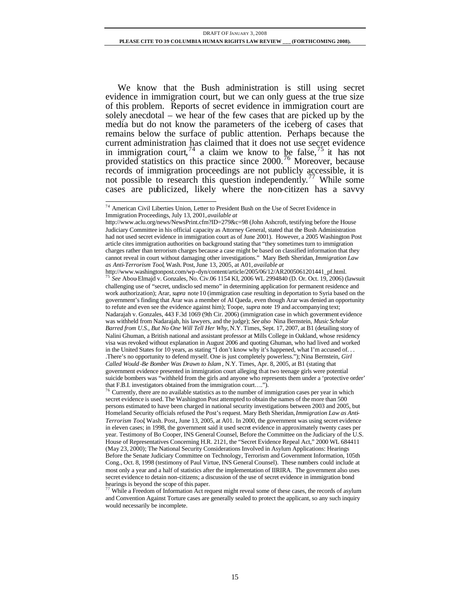We know that the Bush administration is still using secret evidence in immigration court, but we can only guess at the true size of this problem. Reports of secret evidence in immigration court are solely anecdotal – we hear of the few cases that are picked up by the media but do not know the parameters of the iceberg of cases that remains below the surface of public attention. Perhaps because the current administration has claimed that it does not use secret evidence in immigration court,  $^{74}$  a claim we know to be false,  $^{75}$  it has not provided statistics on this practice since 2000.<sup>76</sup> Moreover, because records of immigration proceedings are not publicly accessible, it is not possible to research this question independently. <sup>77</sup> While some cases are publicized, likely where the non-citizen has a savvy

<sup>&</sup>lt;sup>74</sup> American Civil Liberties Union, Letter to President Bush on the Use of Secret Evidence in Immigration Proceedings, July 13, 2001, *available at* 

http://www.aclu.org/news/NewsPrint.cfm?ID=279&c=98 (John Ashcroft, testifying before the House Judiciary Committee in his official capacity as Attorney General, stated that the Bush Administration had not used secret evidence in immigration court as of June 2001). However, a 2005 Washington Post article cites immigration authorities on background stating that "they sometimes turn to immigration charges rather than terrorism charges because a case might be based on classified information that they cannot reveal in court without damaging other investigations." Mary Beth Sheridan, *Immigration Law as Anti-Terrorism Tool*, Wash. Post, June 13, 2005, at A01, *available at*

http://www.washingtonpost.com/wp-dyn/content/article/2005/06/12/AR2005061201441\_pf.html. <sup>75</sup> *See* Abou-Elmajd v. Gonzales, No. Civ.06 1154 KI, 2006 WL 2994840 (D. Or. Oct. 19, 2006) (lawsuit challenging use of "secret, undisclo sed memo" in determining application for permanent residence and work authorization); Arar, *supra* note 10 (immigration case resulting in deportation to Syria based on the government's finding that Arar was a member of Al Qaeda, even though Arar was denied an opportunity to refute and even see the evidence against him); Toope, *supra* note 19 and accompanying text; Nadarajah v. Gonzales, 443 F.3d 1069 (9th Cir. 2006) (immigration case in which government evidence was withheld from Nadarajah, his lawyers, and the judge); *See also* Nina Bernstein, *Music Scholar Barred from U.S., But No One Will Tell Her Why*, N.Y. Times, Sept. 17, 2007, at B1 (detailing story of Nalini Ghuman, a British national and assistant professor at Mills College in Oakland, whose residency visa was revoked without explanation in August 2006 and quoting Ghuman, who had lived and worked in the United States for 10 years, as stating "I don't know why it's happened, what I'm accused of. . . .There's no opportunity to defend myself. One is just completely powerless."); Nina Bernstein, *Girl Called Would -Be Bomber Was Drawn to Islam* , N.Y. Times, Apr. 8, 2005, at B1 (stating that government evidence presented in immigration court alleging that two teenage girls were potential suicide bombers was "withheld from the girls and anyone who represents them under a 'protective order' that F.B.I. investigators obtained from the immigration court….").

 $76$  Currently, there are no available statistics as to the number of immigration cases per year in which secret evidence is used. The Washington Post attempted to obtain the names of the more than 500 persons estimated to have been charged in national security investigations between 2003 and 2005, but Homeland Security officials refused the Post's request. Mary Beth Sheridan, *Immigration Law as Anti-Terrorism Tool*, Wash. Post., June 13, 2005, at A01. In 2000, the government was using secret evidence in eleven cases; in 1998, the government said it used secret evidence in approximately twenty cases per year. Testimony of Bo Cooper, INS General Counsel, Before the Committee on the Judiciary of the U.S. House of Representatives Concerning H.R. 2121, the "Secret Evidence Repeal Act," 2000 WL 684411 (May 23, 2000); The National Security Considerations Involved in Asylum Applications: Hearings Before the Senate Judiciary Committee on Technology, Terrorism and Government Information, 105th Cong., Oct. 8, 1998 (testimony of Paul Virtue, INS General Counsel). These numbers could include at most only a year and a half of statistics after the implementation of IIRIRA. The government also uses secret evidence to detain non-citizens; a discussion of the use of secret evidence in immigration bond hearings is beyond the scope of this paper.<br><sup>77</sup> While a Freedom of the scope of this paper.

While a Freedom of Information Act request might reveal some of these cases, the records of asylum and Convention Against Torture cases are generally sealed to protect the applicant, so any such inquiry would necessarily be incomplete.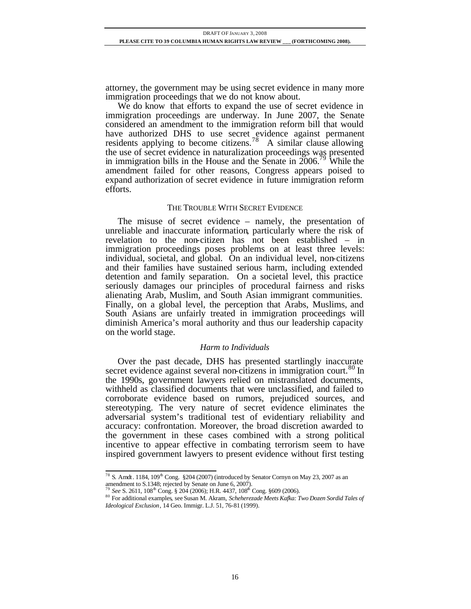attorney, the government may be using secret evidence in many more immigration proceedings that we do not know about.

We do know that efforts to expand the use of secret evidence in immigration proceedings are underway. In June 2007, the Senate considered an amendment to the immigration reform bill that would have authorized DHS to use secret evidence against permanent residents applying to become citizens.<sup>78</sup> A similar clause allowing the use of secret evidence in naturalization proceedings was presented in immigration bills in the House and the Senate in  $2006$ <sup>79</sup> While the amendment failed for other reasons, Congress appears poised to expand authorization of secret evidence in future immigration reform efforts.

#### THE TROUBLE WITH SECRET EVIDENCE

The misuse of secret evidence – namely, the presentation of unreliable and inaccurate information, particularly where the risk of revelation to the non-citizen has not been established – in immigration proceedings poses problems on at least three levels: individual, societal, and global. On an individual level, non-citizens and their families have sustained serious harm, including extended detention and family separation. On a societal level, this practice seriously damages our principles of procedural fairness and risks alienating Arab, Muslim, and South Asian immigrant communities. Finally, on a global level, the perception that Arabs, Muslims, and South Asians are unfairly treated in immigration proceedings will diminish America's moral authority and thus our leadership capacity on the world stage.

#### *Harm to Individuals*

Over the past decade, DHS has presented startlingly inaccurate secret evidence against several non-citizens in immigration court.<sup>80</sup> In the 1990s, government lawyers relied on mistranslated documents, withheld as classified documents that were unclassified, and failed to corroborate evidence based on rumors, prejudiced sources, and stereotyping. The very nature of secret evidence eliminates the adversarial system's traditional test of evidentiary reliability and accuracy: confrontation. Moreover, the broad discretion awarded to the government in these cases combined with a strong political incentive to appear effective in combating terrorism seem to have inspired government lawyers to present evidence without first testing

l <sup>78</sup> S. Amdt. 1184, 109<sup>th</sup> Cong. §204 (2007) (introduced by Senator Cornyn on May 23, 2007 as an amendment to S.1348; rejected by Senate on June 6, 2007).<br><sup>79</sup> *See* S. 2611, 108<sup>th</sup> Cong. § 204 (2006); H.R. 4437, 108<sup>th</sup> Cong. §609 (2006).

<sup>80</sup> For additional examples, see Susan M. Akram, *Scheherezade Meets Kafka: Two Dozen Sordid Tales of Ideological Exclusion*, 14 Geo. Immigr. L.J. 51, 76-81 (1999).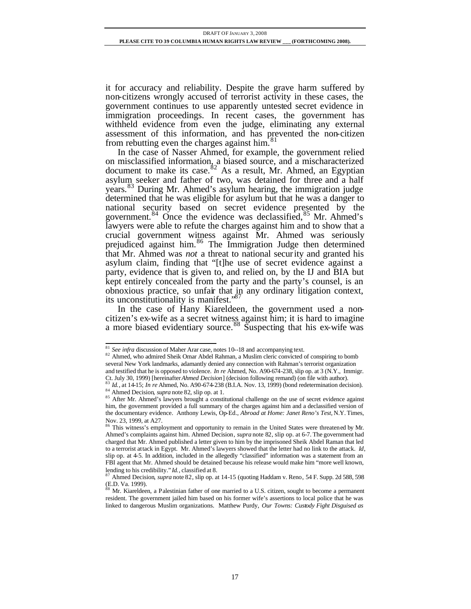it for accuracy and reliability. Despite the grave harm suffered by non-citizens wrongly accused of terrorist activity in these cases, the government continues to use apparently untested secret evidence in immigration proceedings. In recent cases, the government has withheld evidence from even the judge, eliminating any external assessment of this information, and has prevented the non-citizen from rebutting even the charges against him.<sup>81</sup>

In the case of Nasser Ahmed, for example, the government relied on misclassified information, a biased source, and a mischaracterized document to make its case.<sup>82</sup> As a result, Mr. Ahmed, an Egyptian asylum seeker and father of two, was detained for three and a half years.<sup>83</sup> During Mr. Ahmed's asylum hearing, the immigration judge determined that he was eligible for asylum but that he was a danger to national security based on secret evidence presented by the government.<sup>84</sup> Once the evidence was declassified,  $85$  Mr. Ahmed's lawyers were able to refute the charges against him and to show that a crucial government witness against Mr. Ahmed was seriously prejudiced against him.<sup>86</sup> The Immigration Judge then determined that Mr. Ahmed was *not* a threat to national security and granted his asylum claim, finding that "[t]he use of secret evidence against a party, evidence that is given to, and relied on, by the IJ and BIA but kept entirely concealed from the party and the party's counsel, is an obnoxious practice, so unfair that in any ordinary litigation context, its unconstitutionality is manifest."<sup>87</sup>

In the case of Hany Kiareldeen, the government used a noncitizen's ex-wife as a secret witness against him; it is hard to imagine a more biased evidentiary source.<sup>88</sup> Suspecting that his ex-wife was

<sup>&</sup>lt;sup>81</sup> See infra discussion of Maher Arar case, notes 10--18 and accompanying text.

<sup>82</sup> Ahmed, who admired Sheik Omar Abdel Rahman, a Muslim cleric convicted of conspiring to bomb several New York landmarks, adamantly denied any connection with Rahman's terrorist organization and testified that he is opposed to violence. *In re* Ahmed, No. A90-674-238, slip op. at 3 (N.Y., Immigr. Ct. July 30, 1999) [hereinafter *Ahmed Decision*] (decision following remand) (on file with author).<br><sup>83</sup> *Id.* at 14.15. *I* 

<sup>83</sup> *Id.*, at 14-15; *In re* Ahmed, No. A90-674-238 (B.I.A. Nov. 13, 1999) (bond redetermination decision). <sup>84</sup> Ahmed Decision, *supra* note 82, slip op. at 1.

<sup>&</sup>lt;sup>85</sup> After Mr. Ahmed's lawyers brought a constitutional challenge on the use of secret evidence against him, the government provided a full summary of the charges against him and a declassified version of the documentary evidence. Anthony Lewis, Op-Ed., *Abroad at Home: Janet Reno's Test*, N.Y. Times, Nov. 23, 1999, at A27.

<sup>86</sup> This witness's employment and opportunity to remain in the United States were threatened by Mr. Ahmed's complaints against him. Ahmed Decision, *supra* note 82, slip op. at 6-7. The government had charged that Mr. Ahmed published a letter given to him by the imprisoned Sheik Abdel Raman that led to a terrorist attack in Egypt. Mr. Ahmed's lawyers showed that the letter had no link to the attack. *Id*, slip op. at 4-5. In addition, included in the allegedly "classified" information was a statement from an FBI agent that Mr. Ahmed should be detained because his release would make him "more well known, lending to his credibility." *Id.*, classified at 8.

<sup>87</sup> Ahmed Decision, *supra* note 82, slip op. at 14-15 (quoting Haddam v. Reno, 54 F. Supp. 2d 588, 598 (E.D. Va. 1999).

<sup>88</sup> Mr. Kiareldeen, a Palestinian father of one married to a U.S. citizen, sought to become a permanent resident. The government jailed him based on his former wife's assertions to local police that he was linked to dangerous Muslim organizations. Matthew Purdy, *Our Towns: Custody Fight Disguised as*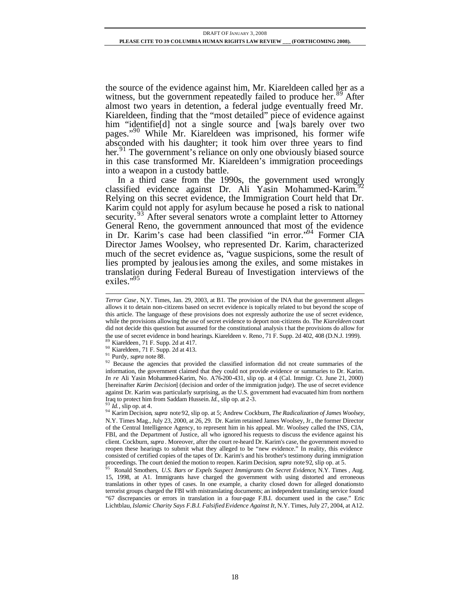the source of the evidence against him, Mr. Kiareldeen called her as a witness, but the government repeatedly failed to produce her.<sup>89</sup> After almost two years in detention, a federal judge eventually freed Mr. Kiareldeen, finding that the "most detailed" piece of evidence against him "identifield] not a single source and [wa]s barely over two pages."<sup>90</sup> While Mr. Kiareldeen was imprisoned, his former wife absconded with his daughter; it took him over three years to find her.<sup>91</sup> The government's reliance on only one obviously biased source in this case transformed Mr. Kiareldeen's immigration proceedings into a weapon in a custody battle.

In a third case from the 1990s, the government used wrongly classified evidence against Dr. Ali Yasin Mohammed-Karim.<sup>5</sup> Relying on this secret evidence, the Immigration Court held that Dr. Karim could not apply for asylum because he posed a risk to national security.<sup>93</sup> After several senators wrote a complaint letter to Attorney General Reno, the government announced that most of the evidence in Dr. Karim's case had been classified "in error."<sup>94</sup> Former CIA Director James Woolsey, who represented Dr. Karim, characterized much of the secret evidence as, "vague suspicions, some the result of lies prompted by jealousies among the exiles, and some mistakes in translation during Federal Bureau of Investigation interviews of the exiles."<sup>95</sup>

*Id.*, slip op. at 4.

l *Terror Case*, N,Y. Times, Jan. 29, 2003, at B1. The provision of the INA that the government alleges allows it to detain non-citizens based on secret evidence is topically related to but beyond the scope of this article. The language of these provisions does not expressly authorize the use of secret evidence, while the provisions allowing the use of secret evidence to deport non-citizens do. The *Kiareldeen* court did not decide this question but assumed for the constitutional analysis t hat the provisions do allow for the use of secret evidence in bond hearings. Kiareldeen v. Reno, 71 F. Supp. 2d 402, 408 (D.N.J. 1999). Kiareldeen, 71 F. Supp. 2d at 417.

<sup>90</sup> Kiareldeen, 71 F. Supp. 2d at 413.

<sup>91</sup> Purdy, *supra* note 88.

<sup>&</sup>lt;sup>92</sup> Because the agencies that provided the classified information did not create summaries of the information, the government claimed that they could not provide evidence or summaries to Dr. Karim. *In re* Ali Yasin Mohammed-Karim, No. A76-200-431, slip op. at 4 (Cal. Immigr. Ct. June 21, 2000) [hereinafter *Karim Decision*] (decision and order of the immigration judge). The use of secret evidence against Dr. Karim was particularly surprising, as the U.S. government had evacuated him from northern Iraq to protect him from Saddam Hussein. *Id.*, slip op. at 2-3.

<sup>94</sup> Karim Decision, *supra* note 92, slip op. at 5; Andrew Cockburn, *The Radicalization of James Woolsey*, N.Y. Times Mag., July 23, 2000, at 26, 29. Dr. Karim retained James Woolsey, Jr., the former Director of the Central Intelligence Agency, to represent him in his appeal. Mr. Woolsey called the INS, CIA, FBI, and the Department of Justice, all who ignored his requests to discuss the evidence against his client. Cockburn, *supra* . Moreover, after the court re-heard Dr. Karim's case, the government moved to reopen these hearings to submit what they alleged to be "new evidence." In reality, this evidence consisted of certified copies of the tapes of Dr. Karim's and his brother's testimony during immigration proceedings. The court denied the motion to reopen. Karim Decision, *supra* note 92, slip op. at 5.

<sup>95</sup> Ronald Smothers, *U.S. Bars or Expels Suspect Immigrants On Secret Evidence*, N.Y. Times , Aug. 15, 1998, at A1. Immigrants have charged the government with using distorted and erroneous translations in other types of cases. In one example, a charity closed down for alleged donations to terrorist groups charged the FBI with mistranslating documents; an independent translating service found "67 discrepancies or errors in translation in a four-page F.B.I. document used in the case." Eric Lichtblau, *Islamic Charity Says F.B.I. Falsified Evidence Against It*, N.Y. Times, July 27, 2004, at A12.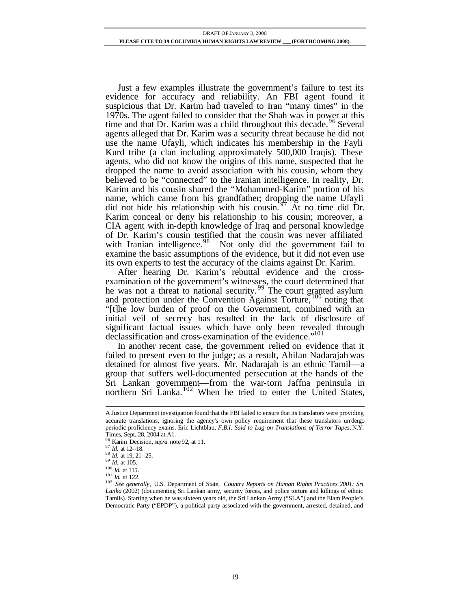Just a few examples illustrate the government's failure to test its evidence for accuracy and reliability. An FBI agent found it suspicious that Dr. Karim had traveled to Iran "many times" in the 1970s. The agent failed to consider that the Shah was in power at this time and that Dr. Karim was a child throughout this decade.<sup>96</sup> Several agents alleged that Dr. Karim was a security threat because he did not use the name Ufayli, which indicates his membership in the Fayli Kurd tribe (a clan including approximately 500,000 Iraqis). These agents, who did not know the origins of this name, suspected that he dropped the name to avoid association with his cousin, whom they believed to be "connected" to the Iranian intelligence. In reality, Dr. Karim and his cousin shared the "Mohammed-Karim" portion of his name, which came from his grandfather; dropping the name Ufayli did not hide his relationship with his cousin.  $47\%$  At no time did Dr. Karim conceal or deny his relationship to his cousin; moreover, a CIA agent with in-depth knowledge of Iraq and personal knowledge of Dr. Karim's cousin testified that the cousin was never affiliated with Iranian intelligence. $98$  Not only did the government fail to examine the basic assumptions of the evidence, but it did not even use its own experts to test the accuracy of the claims against Dr. Karim.

After hearing Dr. Karim's rebuttal evidence and the crossexamination of the government's witnesses, the court determined that he was not a threat to national security.  $\frac{99}{9}$  The court granted asylum and protection under the Convention Against Torture,<sup>100</sup> noting that "[t]he low burden of proof on the Government, combined with an initial veil of secrecy has resulted in the lack of disclosure of significant factual issues which have only been revealed through declassification and cross-examination of the evidence."<sup>101</sup>

In another recent case, the government relied on evidence that it failed to present even to the judge; as a result, Ahilan Nadarajah was detained for almost five years. Mr. Nadarajah is an ethnic Tamil—a group that suffers well-documented persecution at the hands of the Sri Lankan government—from the war-torn Jaffna peninsula in northern Sri Lanka.<sup>102</sup> When he tried to enter the United States,

A Justice Department investigation found that the FBI failed to ensure that its translators were providing accurate translations, ignoring the agency's own policy requirement that these translators un dergo periodic proficiency exams. Eric Lichtblau, *F.B.I. Said to Lag on Translations of Terror Tapes*, N.Y. Times, Sept. 28, 2004 at A1.

<sup>96</sup> Karim Decision, *supra* note 92, at 11.

<sup>97</sup> *Id.* at 12--18.

<sup>98</sup> *Id.* at 19, 21--25.

<sup>99</sup> *Id.* at 105.

<sup>100</sup> *Id.* at 115.

<sup>101</sup> *Id.* at 122.

<sup>102</sup> *See generally*, U.S. Department of State, *Country Reports on Human Rights Practices 2001: Sri Lanka* (2002) (documenting Sri Lankan army, security forces, and police torture and killings of ethnic Tamils). Starting when he was sixteen years old, the Sri Lankan Army ("SLA") and the Elam People's Democratic Party ("EPDP"), a political party associated with the government, arrested, detained, and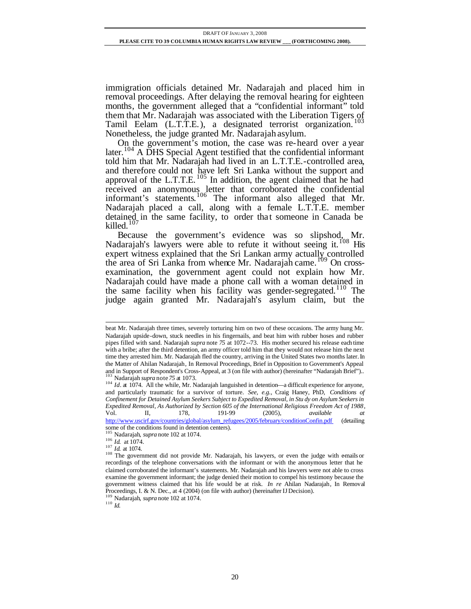immigration officials detained Mr. Nadarajah and placed him in removal proceedings. After delaying the removal hearing for eighteen months, the government alleged that a "confidential informant" told them that Mr. Nadarajah was associated with the Liberation Tigers of Tamil Eelam (L.T.T.E.), a designated terrorist organization.<sup>103</sup> Nonetheless, the judge granted Mr. Nadarajah asylum.

On the government's motion, the case was re-heard over a year later.<sup>104</sup> A DHS Special Agent testified that the confidential informant told him that Mr. Nadarajah had lived in an L.T.T.E.-controlled area, and therefore could not have left Sri Lanka without the support and approval of the L.T.T.E.  $^{105}$  In addition, the agent claimed that he had received an anonymous letter that corroborated the confidential informant's statements.<sup>106</sup> The informant also alleged that Mr. Nadarajah placed a call, along with a female L.T.T.E. member detained in the same facility, to order that someone in Canada be killed. $107$ 

Because the government's evidence was so slipshod, Mr. Nadarajah's lawyers were able to refute it without seeing it.<sup>108</sup> His expert witness explained that the Sri Lankan army actually controlled the area of Sri Lanka from whence Mr. Nadarajah came.<sup>109</sup> On crossexamination, the government agent could not explain how Mr. Nadarajah could have made a phone call with a woman detained in the same facility when his facility was gender-segregated.<sup>110</sup> The judge again granted Mr. Nadarajah's asylum claim, but the

http://www.uscirf.gov/countries/global/asylum\_refugees/2005/february/conditionConfin.pdf (detailing some of the conditions found in detention centers). <sup>105</sup> Nadarajah, *supra* note 102 at 1074.

l beat Mr. Nadarajah three times, severely torturing him on two of these occasions. The army hung Mr. Nadarajah upside-down, stuck needles in his fingernails, and beat him with rubber hoses and rubber pipes filled with sand. Nadarajah *supra* note *75* at 1072--73. His mother secured his release each time with a bribe; after the third detention, an army officer told him that they would not release him the next time they arrested him. Mr. Nadarajah fled the country, arriving in the United States two months later. In the Matter of Ahilan Nadarajah, In Removal Proceedings, Brief in Opposition to Government's Appeal and in Support of Respondent's Cross-Appeal, at 3 (on file with author) (hereinafter "Nadarajah Brief")..<br><sup>103</sup> Mederaiah Erregondent's Cross-Appeal, at 3 (on file with author) (hereinafter "Nadarajah Brief").. <sup>103</sup> Nadarajah *supra* note *75* at 1073.

<sup>&</sup>lt;sup>104</sup> *Id.* at 1074. All the while, Mr. Nadarajah languished in detention—a difficult experience for anyone, and particularly traumatic for a survivor of torture. *See, e.g.,* Craig Haney, PhD, *Conditions of Confinement for Detained Asylum Seekers Subject to Expedited Removal, in Stu dy on Asylum Seekers in Expedited Removal, As Authorized by Section 605 of the International Religious Freedom Act of 1988*, Vol. II, 178, 191-99 (2005), *available at*

<sup>106</sup> *Id.* at 1074.

<sup>107</sup> *Id.* at 1074.

<sup>&</sup>lt;sup>108</sup> The government did not provide Mr. Nadarajah, his lawyers, or even the judge with emails or recordings of the telephone conversations with the informant or with the anonymous letter that he claimed corroborated the informant's statements. Mr. Nadarajah and his lawyers were not able to cross examine the government informant; the judge denied their motion to compel his testimony because the government witness claimed that his life would be at risk. *In re* Ahilan Nadarajah*,* In Removal Proceedings, I. & N. Dec., at 4 (2004) (on file with author) (hereinafter IJ Decision).

<sup>109</sup> Nadarajah, *supra* note 102 at 1074.

<sup>110</sup> *Id.*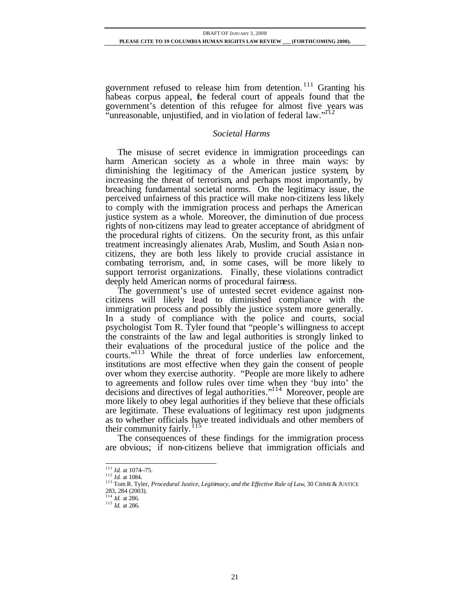government refused to release him from detention. <sup>111</sup> Granting his habeas corpus appeal, the federal court of appeals found that the government's detention of this refugee for almost five years was "unreasonable, unjustified, and in violation of federal law."<sup>112</sup>

# *Societal Harms*

The misuse of secret evidence in immigration proceedings can harm American society as a whole in three main ways: by diminishing the legitimacy of the American justice system, by increasing the threat of terrorism, and perhaps most importantly, by breaching fundamental societal norms. On the legitimacy issue, the perceived unfairness of this practice will make non-citizens less likely to comply with the immigration process and perhaps the American justice system as a whole. Moreover, the diminution of due process rights of non-citizens may lead to greater acceptance of abridgment of the procedural rights of citizens. On the security front, as this unfair treatment increasingly alienates Arab, Muslim, and South Asian noncitizens, they are both less likely to provide crucial assistance in combating terrorism, and, in some cases, will be more likely to support terrorist organizations. Finally, these violations contradict deeply held American norms of procedural fairness.

The government's use of untested secret evidence against noncitizens will likely lead to diminished compliance with the immigration process and possibly the justice system more generally. In a study of compliance with the police and courts, social psychologist Tom R. Tyler found that "people's willingness to accept the constraints of the law and legal authorities is strongly linked to their evaluations of the procedural justice of the police and the courts."<sup>113</sup> While the threat of force underlies law enforcement, institutions are most effective when they gain the consent of people over whom they exercise authority. "People are more likely to adhere to agreements and follow rules over time when they 'buy into' the decisions and directives of legal authorities."<sup>114</sup> Moreover, people are more likely to obey legal authorities if they believe that these officials are legitimate. These evaluations of legitimacy rest upon judgments as to whether officials have treated individuals and other members of their community fairly.  $^{115}$ 

The consequences of these findings for the immigration process are obvious; if non-citizens believe that immigration officials and

<sup>111</sup> *Id.* at 1074--75.

<sup>112</sup> *Id.* at 1084.

<sup>&</sup>lt;sup>113</sup> Tom R. Tyler, *Procedural Justice, Legitimacy, and the Effective Rule of Law*, 30 CRIME & JUSTICE 283, 284 (2003).

<sup>114</sup> *Id.* at 286.

<sup>115</sup> *Id.* at 286.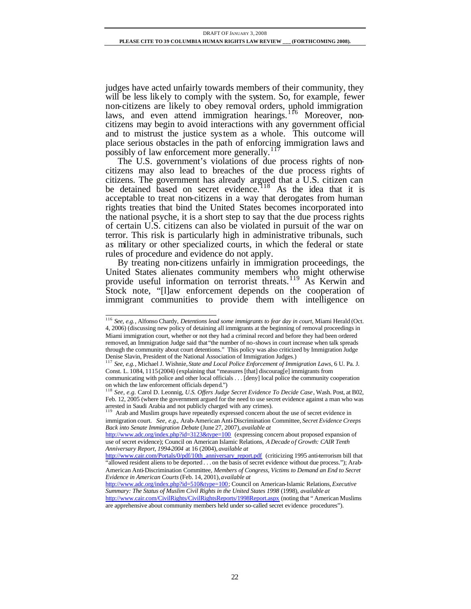judges have acted unfairly towards members of their community, they will be less likely to comply with the system. So, for example, fewer non-citizens are likely to obey removal orders, uphold immigration laws, and even attend immigration hearings.<sup>116</sup> Moreover, noncitizens may begin to avoid interactions with any government official and to mistrust the justice system as a whole. This outcome will place serious obstacles in the path of enforcing immigration laws and possibly of law enforcement more generally.<sup>117</sup>

The U.S. government's violations of due process rights of noncitizens may also lead to breaches of the due process rights of citizens. The government has already argued that a U.S. citizen can be detained based on secret evidence.<sup>118</sup> As the idea that it is acceptable to treat non-citizens in a way that derogates from human rights treaties that bind the United States becomes incorporated into the national psyche, it is a short step to say that the due process rights of certain U.S. citizens can also be violated in pursuit of the war on terror. This risk is particularly high in administrative tribunals, such as military or other specialized courts, in which the federal or state rules of procedure and evidence do not apply.

By treating non-citizens unfairly in immigration proceedings, the United States alienates community members who might otherwise provide useful information on terrorist threats.<sup>119</sup> As Kerwin and Stock note, "[l]aw enforcement depends on the cooperation of immigrant communities to provide them with intelligence on

l <sup>116</sup> *See, e.g.*, Alfonso Chardy, *Detentions lead some immigrants to fear day in court*, Miami Herald (Oct. 4, 2006) (discussing new policy of detaining all immigrants at the beginning of removal proceedings in Miami immigration court, whether or not they had a criminal record and before they had been ordered removed, an Immigration Judge said that "the number of no-shows in court increase when talk spreads through the community about court detentions." This policy was also criticized by Immigration Judge Denise Slavin, President of the National Association of Immigration Judges.)

<sup>117</sup> *See, e.g.*, Michael J. Wishnie, *State and Local Police Enforcement of Immigration Laws*, 6 U. Pa. J. Const. L. 1084, 1115(2004) (explaining that "measures [that] discourag[e] immigrants from communicating with police and other local officials . . . [deny] local police the community cooperation on which the law enforcement officials depend.")

<sup>118</sup> *See, e.g.* Carol D. Leonnig, *U.S. Offers Judge Secret Evidence To Decide Case*, Wash. Post, at B02, Feb. 12, 2005 (where the government argued for the need to use secret evidence against a man who was arrested in Saudi Arabia and not publicly charged with any crimes).<br><sup>119</sup> Arab and Muslim

Arab and Muslim groups have repeatedly expressed concern about the use of secret evidence in immigration court. *See, e.g.*, Arab-American Anti-Discrimination Committee, *Secret Evidence Creeps Back into Senate Immigration Debate* (June 27, 2007), *available at* 

http://www.adc.org/index.php?id=3123&type=100 (expressing concern about proposed expansion of use of secret evidence); Council on American Islamic Relations, *A Decade of Growth: CAIR Tenth Anniversary Report, 1994-2004* at 16 (2004), *available at* 

http://www.cair.com/Portals/0/pdf/10th\_anniversary\_report.pdf (criticizing 1995 anti-terrorism bill that "allowed resident aliens to be deported . . . on the basis of secret evidence without due process."); Arab-American Anti-Discrimination Committee, *Members of Congress, Victims to Demand an End to Secret Evidence in American Courts* (Feb. 14, 2001), *available at* 

http://www.adc.org/index.php?id=510&type=100; Council on American-Islamic Relations, *Executive Summary: The Status of Muslim Civil Rights in the United States 1998* (1998), *available at* 

http://www.cair.com/CivilRights/CivilRightsReports/1998Report.aspx (noting that " American Muslims are apprehensive about community members held under so-called secret evidence procedures").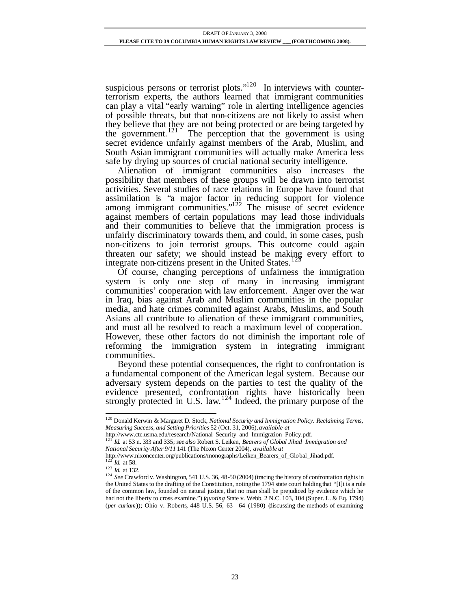suspicious persons or terrorist plots." $120$  In interviews with counterterrorism experts, the authors learned that immigrant communities can play a vital "early warning" role in alerting intelligence agencies of possible threats, but that non-citizens are not likely to assist when they believe that they are not being protected or are being targeted by the government.<sup>121</sup> The perception that the government is using secret evidence unfairly against members of the Arab, Muslim, and South Asian immigrant communities will actually make America less safe by drying up sources of crucial national security intelligence.

Alienation of immigrant communities also increases the possibility that members of these groups will be drawn into terrorist activities. Several studies of race relations in Europe have found that assimilation is "a major factor in reducing support for violence among immigrant communities." $122$  The misuse of secret evidence against members of certain populations may lead those individuals and their communities to believe that the immigration process is unfairly discriminatory towards them, and could, in some cases, push non-citizens to join terrorist groups. This outcome could again threaten our safety; we should instead be making every effort to integrate non-citizens present in the United States.<sup>123</sup>

Of course, changing perceptions of unfairness the immigration system is only one step of many in increasing immigrant communities' cooperation with law enforcement. Anger over the war in Iraq, bias against Arab and Muslim communities in the popular media, and hate crimes commited against Arabs, Muslims, and South Asians all contribute to alienation of these immigrant communities, and must all be resolved to reach a maximum level of cooperation. However, these other factors do not diminish the important role of reforming the immigration system in integrating immigrant communities.

Beyond these potential consequences, the right to confrontation is a fundamental component of the American legal system. Because our adversary system depends on the parties to test the quality of the evidence presented, confrontation rights have historically been strongly protected in U.S. law. $124$  Indeed, the primary purpose of the

<sup>120</sup> Donald Kerwin & Margaret D. Stock, *National Security and Immigration Policy: Reclaiming Terms, Measuring Success, and Setting Priorities* 52 (Oct. 31, 2006), *available at*

http://www.ctc.usma.edu/research/National\_Security\_and\_Immigration\_Policy.pdf.

<sup>121</sup> *Id.* at 53 n. 333 and 335; *see also* Robert S. Leiken, *Bearers of Global Jihad Immigration and* 

*National Security After 9/11* 141 (The Nixon Center 2004), *available at*

http://www.nixoncenter.org/publications/monographs/Leiken\_Bearers\_of\_Global\_Jihad.pdf.

*Id.* at 58.

<sup>123</sup> *Id.* at 132.

<sup>&</sup>lt;sup>124</sup> *See* Crawford v. Washington, 541 U.S. 36, 48-50 (2004) (tracing the history of confrontation rights in the United States to the drafting of the Constitution, noting the 1794 state court holding that "[I]t is a rule of the common law, founded on natural justice, that no man shall be prejudiced by evidence which he had not the liberty to cross examine.") (*quoting* State v. Webb, 2 N.C. 103, 104 (Super. L. & Eq. 1794) (*per curiam*)); Ohio v. Roberts, 448 U.S. 56, 63—64 (1980) (discussing the methods of examining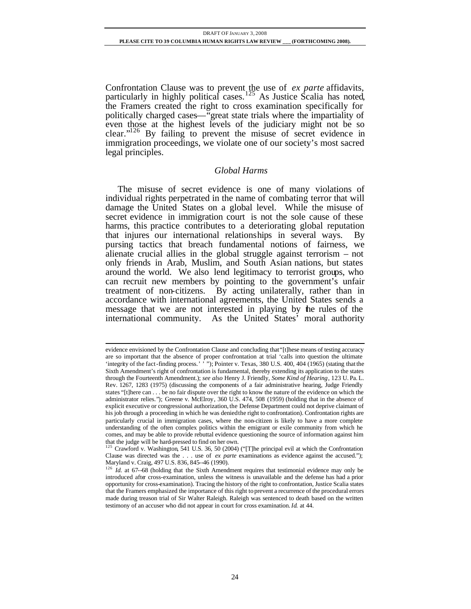Confrontation Clause was to prevent the use of *ex parte* affidavits, particularly in highly political cases.<sup>125</sup> As Justice Scalia has noted, the Framers created the right to cross examination specifically for politically charged cases—"great state trials where the impartiality of even those at the highest levels of the judiciary might not be so clear."<sup>126</sup> By failing to prevent the misuse of secret evidence in immigration proceedings, we violate one of our society's most sacred legal principles.

# *Global Harms*

The misuse of secret evidence is one of many violations of individual rights perpetrated in the name of combating terror that will damage the United States on a global level. While the misuse of secret evidence in immigration court is not the sole cause of these harms, this practice contributes to a deteriorating global reputation that injures our international relationships in several ways. By pursing tactics that breach fundamental notions of fairness, we alienate crucial allies in the global struggle against terrorism – not only friends in Arab, Muslim, and South Asian nations, but states around the world. We also lend legitimacy to terrorist groups, who can recruit new members by pointing to the government's unfair treatment of non-citizens. By acting unilaterally, rather than in accordance with international agreements, the United States sends a message that we are not interested in playing by the rules of the international community. As the United States' moral authority

evidence envisioned by the Confrontation Clause and concluding that "[t]hese means of testing accuracy are so important that the absence of proper confrontation at trial 'calls into question the ultimate 'integrity of the fact-finding process.' '"); Pointer v. Texas, 380 U.S. 400, 404 (1965) (stating that the Sixth Amendment's right of confrontation is fundamental, thereby extending its application to the states through the Fourteenth Amendment.); *see also* Henry J. Friendly, *Some Kind of Hearing*, 123 U. Pa. L. Rev. 1267, 1283 (1975) (discussing the components of a fair administrative hearing, Judge Friendly states "[t]here can . . . be no fair dispute over the right to know the nature of the evidence on which the administrator relies."); Greene v. McElroy, 360 U.S. 474, 508 (1959) (holding that in the absence of explicit executive or congressional authorization, the Defense Department could not deprive claimant of his job through a proceeding in which he was deniedthe right to confrontation). Confrontation rights are particularly crucial in immigration cases, where the non-citizen is likely to have a more complete understanding of the often complex politics within the emigrant or exile community from which he comes, and may be able to provide rebuttal evidence questioning the source of information against him that the judge will be hard-pressed to find on her own.

<sup>&</sup>lt;sup>125</sup> Crawford v. Washington, 541 U.S. 36, 50 (2004) ("[T]he principal evil at which the Confrontation Clause was directed was the . . . use of *ex parte* examinations as evidence against the accused."); Maryland v. Craig, 497 U.S. 836, 845--46 (1990).

<sup>&</sup>lt;sup>126</sup> *Id.* at 67--68 (holding that the Sixth Amendment requires that testimonial evidence may only be introduced after cross-examination, unless the witness is unavailable and the defense has had a prior opportunity for cross-examination). Tracing the history of the right to confrontation, Justice Scalia states that the Framers emphasized the importance of this right to prevent a recurrence of the procedural errors made during treason trial of Sir Walter Raleigh. Raleigh was sentenced to death based on the written testimony of an accuser who did not appear in court for cross examination. *Id.* at 44.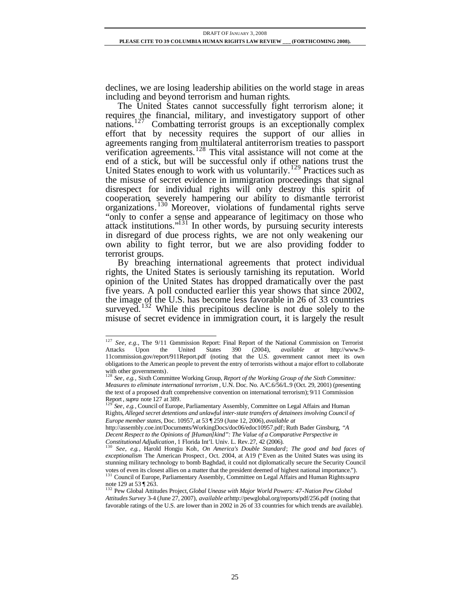declines, we are losing leadership abilities on the world stage in areas including and beyond terrorism and human rights.

The United States cannot successfully fight terrorism alone; it requires the financial, military, and investigatory support of other nations.<sup>127</sup> Combatting terrorist groups is an exceptionally complex effort that by necessity requires the support of our allies in agreements ranging from multilateral antiterrorism treaties to passport verification agreements.<sup>128</sup> This vital assistance will not come at the end of a stick, but will be successful only if other nations trust the United States enough to work with us voluntarily.<sup>129</sup> Practices such as the misuse of secret evidence in immigration proceedings that signal disrespect for individual rights will only destroy this spirit of cooperation, severely hampering our ability to dismantle terrorist organizations. <sup>130</sup> Moreover, violations of fundamental rights serve "only to confer a sense and appearance of legitimacy on those who attack institutions."<sup>131</sup> In other words, by pursuing security interests in disregard of due process rights, we are not only weakening our own ability to fight terror, but we are also providing fodder to terrorist groups.

By breaching international agreements that protect individual rights, the United States is seriously tarnishing its reputation. World opinion of the United States has dropped dramatically over the past five years. A poll conducted earlier this year shows that since 2002, the image of the U.S. has become less favorable in 26 of 33 countries surveyed.<sup>132</sup> While this precipitous decline is not due solely to the misuse of secret evidence in immigration court, it is largely the result

<sup>&</sup>lt;sup>127</sup> *See*, *e.g.*, The 9/11 Commission Report: Final Report of the National Commission on Terrorist Attacks Upon the United States 390 (2004), *available at* http://www.9- 11commission.gov/report/911Report.pdf (noting that the U.S. government cannot meet its own obligations to the American people to prevent the entry of terrorists without a major effort to collaborate

with other governments). <sup>128</sup> *See*, *e.g.*, Sixth Committee Working Group, *Report of the Working Group of the Sixth Committee: Measures to eliminate international terrorism* , U.N. Doc. No. A/C.6/56/L.9 (Oct. 29, 2001) (presenting the text of a proposed draft comprehensive convention on international terrorism); 9/11 Commission Report, *supra* note 127 at 389.

<sup>129</sup> *See*, *e.g.*, Council of Europe, Parliamentary Assembly, Committee on Legal Affairs and Human Rights, *Alleged secret detentions and unlawful inter-state transfers of detainees involving Council of Europe member states*, Doc. 10957, at 53 ¶ 259 (June 12, 2006), *available at* 

http://assembly.coe.int/Documents/WorkingDocs/doc06/edoc10957.pdf; Ruth Bader Ginsburg, *"A Decent Respect to the Opinions of [Human]kind": The Value of a Comparative Perspective in Constitutional Adjudication*, 1 Florida Int'l. Univ. L. Rev.27, 42 (2006).

<sup>130</sup> *See*, *e.g.*, Harold Hongju Koh, *On America's Double Standard*; *The good and bad faces of exceptionalism* The American Prospect , Oct. 2004, at A19 ("Even as the United States was using its stunning military technology to bomb Baghdad, it could not diplomatically secure the Security Council votes of even its closest allies on a matter that the president deemed of highest national importance."). <sup>131</sup> Council of Europe, Parliamentary Assembly, Committee on Legal Affairs and Human Rights *supra*

note 129 at 53 ¶ 263. <sup>132</sup> Pew Global Attitudes Project, *Global Unease with Major World Powers: 47-Nation Pew Global Attitudes Survey* 3-4 (June 27, 2007), *available at*http://pewglobal.org/reports/pdf/256.pdf (noting that favorable ratings of the U.S. are lower than in 2002 in 26 of 33 countries for which trends are available).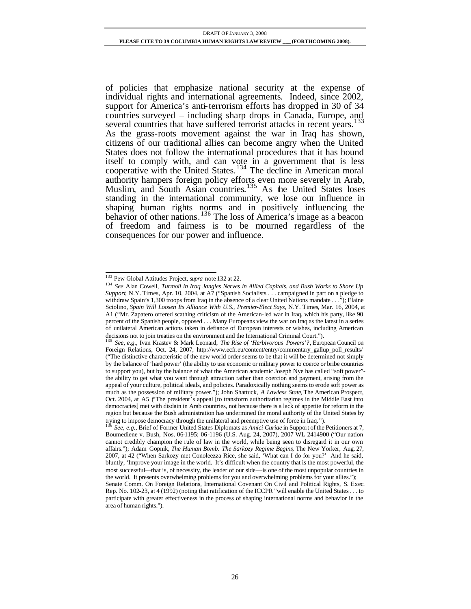of policies that emphasize national security at the expense of individual rights and international agreements. Indeed, since 2002, support for America's anti-terrorism efforts has dropped in 30 of 34 countries surveyed – including sharp drops in Canada, Europe, and several countries that have suffered terrorist attacks in recent years.<sup>133</sup> As the grass-roots movement against the war in Iraq has shown, citizens of our traditional allies can become angry when the United States does not follow the international procedures that it has bound itself to comply with, and can vote in a government that is less cooperative with the United States.<sup>134</sup> The decline in American moral authority hampers foreign policy efforts even more severely in Arab, Muslim, and South Asian countries.<sup>135</sup> As the United States loses standing in the international community, we lose our influence in shaping human rights norms and in positively influencing the behavior of other nations.<sup>136</sup> The loss of America's image as a beacon of freedom and fairness is to be mourned regardless of the consequences for our power and influence.

l <sup>133</sup> Pew Global Attitudes Project, *supra* note 132 at 22.

<sup>134</sup> *See* Alan Cowell, *Turmoil in Iraq Jangles Nerves in Allied Capitals, and Bush Works to Shore Up Support*, N.Y. Times, Apr. 10, 2004, at A7 ("Spanish Socialists . . . campaigned in part on a pledge to withdraw Spain's 1,300 troops from Iraq in the absence of a clear United Nations mandate . . ."); Elaine Sciolino, *Spain Will Loosen Its Alliance With U.S., Premier-Elect Says*, N.Y. Times, Mar. 16, 2004, at A1 ("Mr. Zapatero offered scathing criticism of the American-led war in Iraq, which his party, like 90 percent of the Spanish people, opposed . . . Many Europeans view the war on Iraq as the latest in a series of unilateral American actions taken in defiance of European interests or wishes, including American decisions not to join treaties on the environment and the International Criminal Court."). <sup>135</sup> *See, e.g.*, Ivan Krastev & Mark Leonard, *The Rise of 'Herbivorous Powers'?*, European Council on

Foreign Relations, Oct. 24, 2007, http://www.ecfr.eu/content/entry/commentary\_gallup\_poll\_results/ ("The distinctive characteristic of the new world order seems to be that it will be determined not simply by the balance of 'hard power' (the ability to use economic or military power to coerce or bribe countries to support you), but by the balance of what the American academic Joseph Nye has called "soft power" the ability to get what you want through attraction rather than coercion and payment, arising from the appeal of your culture, political ideals, and policies. Paradoxically nothing seems to erode soft power as much as the possession of military power."); John Shattuck, *A Lawless State*, The American Prospect, Oct. 2004, at A5 ("The president's appeal [to transform authoritarian regimes in the Middle East into democracies] met with disdain in Arab countries, not because there is a lack of appetite for reform in the region but because the Bush administration has undermined the moral authority of the United States by trying to impose democracy through the unilateral and preemptive use of force in Iraq.").

<sup>136</sup> *See, e.g.*, Brief of Former United States Diplomats as *Amici Curiae* in Support of the Petitioners at 7, Boumediene v. Bush, Nos. 06-1195; 06-1196 (U.S. Aug. 24, 2007), 2007 WL 2414900 ("Our nation cannot credibly champion the rule of law in the world, while being seen to disregard it in our own affairs."); Adam Gopnik, *The Human Bomb: The Sarkozy Regime Begins*, The New Yorker, Aug. 27, 2007, at 42 ("When Sarkozy met Conoleezza Rice, she said, 'What can I do for you?' And he said, bluntly, 'Improve your image in the world. It's difficult when the country that is the most powerful, the most successful—that is, of necessity, the leader of our side—is one of the most unpopular countries in the world. It presents overwhelming problems for you and overwhelming problems for your allies.");

Senate Comm. On Foreign Relations, International Covenant On Civil and Political Rights, S. Exec. Rep. No. 102-23, at 4 (1992) (noting that ratification of the ICCPR "will enable the United States . . . to participate with greater effectiveness in the process of shaping international norms and behavior in the area of human rights.").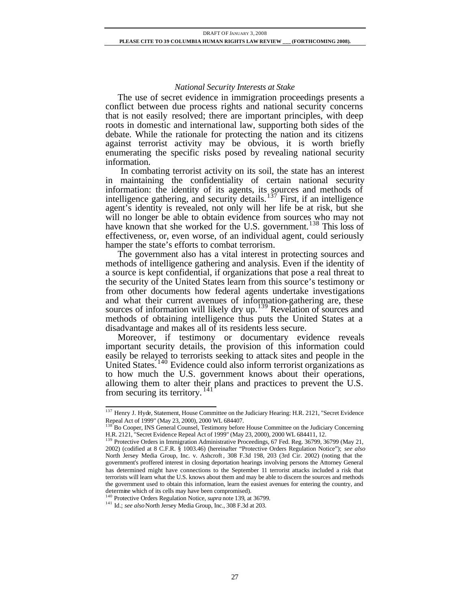#### *National Security Interests at Stake*

The use of secret evidence in immigration proceedings presents a conflict between due process rights and national security concerns that is not easily resolved; there are important principles, with deep roots in domestic and international law, supporting both sides of the debate. While the rationale for protecting the nation and its citizens against terrorist activity may be obvious, it is worth briefly enumerating the specific risks posed by revealing national security information.

 In combating terrorist activity on its soil, the state has an interest in maintaining the confidentiality of certain national security information: the identity of its agents, its sources and methods of intelligence gathering, and security details. $137$  First, if an intelligence agent's identity is revealed, not only will her life be at risk, but she will no longer be able to obtain evidence from sources who may not have known that she worked for the U.S. government.<sup>138</sup> This loss of effectiveness, or, even worse, of an individual agent, could seriously hamper the state's efforts to combat terrorism.

The government also has a vital interest in protecting sources and methods of intelligence gathering and analysis. Even if the identity of a source is kept confidential, if organizations that pose a real threat to the security of the United States learn from this source's testimony or from other documents how federal agents undertake investigations and what their current avenues of information-gathering are, these sources of information will likely dry up.<sup>139</sup> Revelation of sources and methods of obtaining intelligence thus puts the United States at a disadvantage and makes all of its residents less secure.

Moreover, if testimony or documentary evidence reveals important security details, the provision of this information could easily be relayed to terrorists seeking to attack sites and people in the United States.<sup>140</sup> Evidence could also inform terrorist organizations as to how much the U.S. government knows about their operations, allowing them to alter their plans and practices to prevent the U.S. from securing its territory.<sup>141</sup>

l <sup>137</sup> Henry J. Hyde, Statement, House Committee on the Judiciary Hearing: H.R. 2121, "Secret Evidence Repeal Act of 1999" (May 23, 2000), 2000 WL 684407.

<sup>138</sup> Bo Cooper, INS General Counsel, Testimony before House Committee on the Judiciary Concerning H.R. 2121, "Secret Evidence Repeal Act of 1999" (May 23, 2000), 2000 WL 684411, 12.

<sup>&</sup>lt;sup>139</sup> Protective Orders in Immigration Administrative Proceedings, 67 Fed. Reg. 36799, 36799 (May 21, 2002) (codified at 8 C.F.R. § 1003.46) (hereinafter "Protective Orders Regulation Notice"); *see also*  North Jersey Media Group, Inc. v. Ashcroft , 308 F.3d 198, 203 (3rd Cir. 2002) (noting that the government's proffered interest in closing deportation hearings involving persons the Attorney General has determined might have connections to the September 11 terrorist attacks included a risk that terrorists will learn what the U.S. knows about them and may be able to discern the sources and methods the government used to obtain this information, learn the easiest avenues for entering the country, and determine which of its cells may have been compromised).

<sup>140</sup> Protective Orders Regulation Notice, *supra* note 139, at 36799.

<sup>141</sup> Id.; *see also* North Jersey Media Group, Inc., 308 F.3d at 203.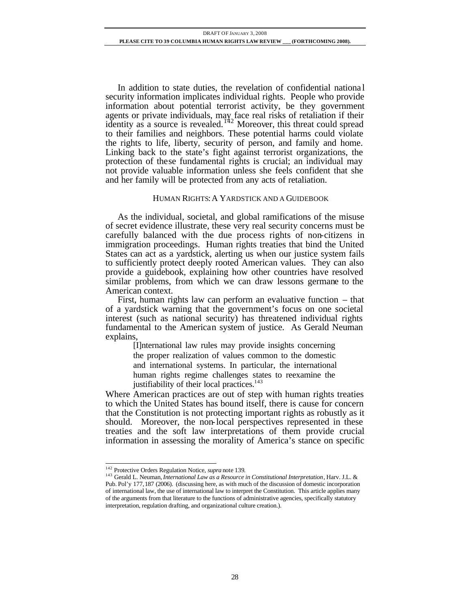In addition to state duties, the revelation of confidential nationa l security information implicates individual rights. People who provide information about potential terrorist activity, be they government agents or private individuals, may face real risks of retaliation if their identity as a source is revealed.<sup>142</sup> Moreover, this threat could spread to their families and neighbors. These potential harms could violate the rights to life, liberty, security of person, and family and home. Linking back to the state's fight against terrorist organizations, the protection of these fundamental rights is crucial; an individual may not provide valuable information unless she feels confident that she and her family will be protected from any acts of retaliation.

#### HUMAN RIGHTS:A YARDSTICK AND A GUIDEBOOK

As the individual, societal, and global ramifications of the misuse of secret evidence illustrate, these very real security concerns must be carefully balanced with the due process rights of non-citizens in immigration proceedings. Human rights treaties that bind the United States can act as a yardstick, alerting us when our justice system fails to sufficiently protect deeply rooted American values. They can also provide a guidebook, explaining how other countries have resolved similar problems, from which we can draw lessons germane to the American context.

First, human rights law can perform an evaluative function – that of a yardstick warning that the government's focus on one societal interest (such as national security) has threatened individual rights fundamental to the American system of justice. As Gerald Neuman explains,

> [I]nternational law rules may provide insights concerning the proper realization of values common to the domestic and international systems. In particular, the international human rights regime challenges states to reexamine the justifiability of their local practices.<sup>143</sup>

Where American practices are out of step with human rights treaties to which the United States has bound itself, there is cause for concern that the Constitution is not protecting important rights as robustly as it should. Moreover, the non-local perspectives represented in these treaties and the soft law interpretations of them provide crucial information in assessing the morality of America's stance on specific

l <sup>142</sup> Protective Orders Regulation Notice, *supra* note 139.

<sup>143</sup> Gerald L. Neuman, *International Law as a Resource in Constitutional Interpretation*, Harv. J.L. & Pub. Pol'y 177,187 (2006). (discussing here, as with much of the discussion of domestic incorporation of international law, the use of international law to interpret the Constitution. This article applies many of the arguments from that literature to the functions of administrative agencies, specifically statutory interpretation, regulation drafting, and organizational culture creation.).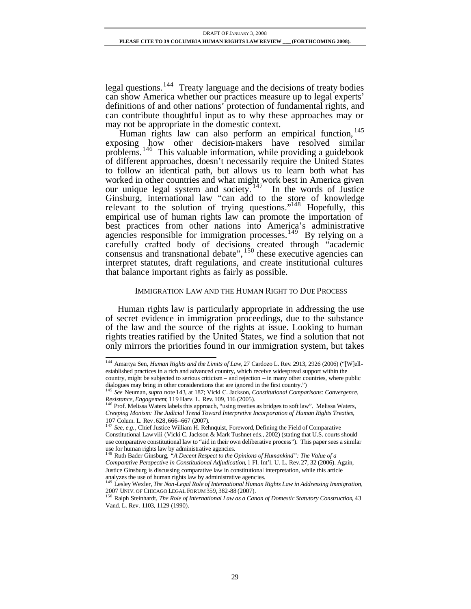legal questions.<sup>144</sup> Treaty language and the decisions of treaty bodies can show America whether our practices measure up to legal experts' definitions of and other nations' protection of fundamental rights, and can contribute thoughtful input as to why these approaches may or may not be appropriate in the domestic context.

Human rights law can also perform an empirical function.<sup>145</sup> exposing how other decision-makers have resolved similar problems.<sup>146</sup> This valuable information, while providing a guidebook of different approaches, doesn't necessarily require the United States to follow an identical path, but allows us to learn both what has worked in other countries and what might work best in America given our unique legal system and society.  $147$  In the words of Justice Ginsburg, international law "can add to the store of knowledge relevant to the solution of trying questions." $148$  Hopefully, this empirical use of human rights law can promote the importation of best practices from other nations into America's administrative agencies responsible for immigration processes.<sup>149</sup> By relying on a carefully crafted body of decisions created through "academic consensus and transnational debate",  $150$  these executive agencies can interpret statutes, draft regulations, and create institutional cultures that balance important rights as fairly as possible.

#### IMMIGRATION LAW AND THE HUMAN RIGHT TO DUE PROCESS

Human rights law is particularly appropriate in addressing the use of secret evidence in immigration proceedings, due to the substance of the law and the source of the rights at issue. Looking to human rights treaties ratified by the United States, we find a solution that not only mirrors the priorities found in our immigration system, but takes

<sup>144</sup> Amartya Sen, *Human Rights and the Limits of Law*, 27 Cardozo L. Rev. 2913, 2926 (2006) ("[W]ellestablished practices in a rich and advanced country, which receive widespread support within the country, might be subjected to serious criticism – and rejection – in many other countries, where public dialogues may bring in other considerations that are ignored in the first country.")

<sup>145</sup> *See* Neuman, *supra* note 143, at 187; Vicki C. Jackson, *Constitutional Comparisons: Convergence, Resistance, Engagement*, 119 Harv. L. Rev. 109, 116 (2005). <sup>146</sup> Prof. Melissa Waters labels this approach, "using treaties as bridges to soft law". Melissa Waters,

*Creeping Monism: The Judicial Trend Toward Interpretive Incorporation of Human Rights Treaties*, 107 Colum. L. Rev.628,666--667 (2007). <sup>147</sup> *See, e.g.*, Chief Justice William H. Rehnquist, Foreword, Defining the Field of Comparative

Constitutional Lawviii (Vicki C. Jackson & Mark Tushnet eds., 2002) (stating that U.S. courts should use comparative constitutional law to "aid in their own deliberative process"). This paper sees a similar use for human rights law by administrative agencies. <sup>148</sup> Ruth Bader Ginsburg, *"A Decent Respect to the Opinions of Humankind": The Value of a* 

*Comparative Perspective in Constitutional Adjudication*, 1 Fl. Int'l. U. L. Rev.27, 32 (2006). Again, Justice Ginsburg is discussing comparative law in constitutional interpretation, while this article

analyzes the use of human rights law by administrative agencies. <sup>149</sup> Lesley Wexler, *The Non-Legal Role of International Human Rights Law in Addressing Immigration*, 2007 UNIV. OF CHICAGO LEGAL FORUM 359, 382-88 (2007).

<sup>&</sup>lt;sup>150</sup> Ralph Steinhardt, *The Role of International Law as a Canon of Domestic Statutory Construction*, 43 Vand. L. Rev. 1103, 1129 (1990).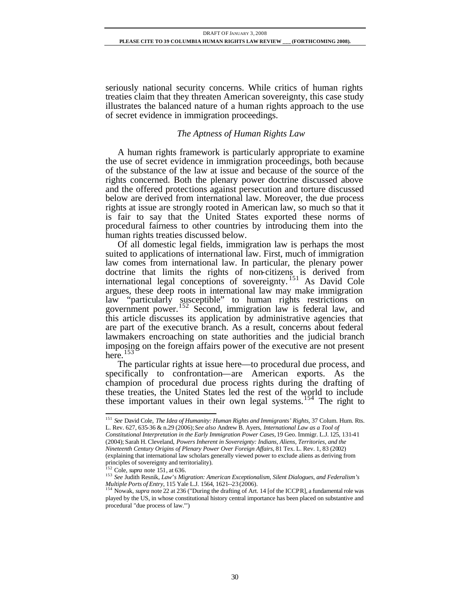seriously national security concerns. While critics of human rights treaties claim that they threaten American sovereignty, this case study illustrates the balanced nature of a human rights approach to the use of secret evidence in immigration proceedings.

# *The Aptness of Human Rights Law*

A human rights framework is particularly appropriate to examine the use of secret evidence in immigration proceedings, both because of the substance of the law at issue and because of the source of the rights concerned. Both the plenary power doctrine discussed above and the offered protections against persecution and torture discussed below are derived from international law. Moreover, the due process rights at issue are strongly rooted in American law, so much so that it is fair to say that the United States exported these norms of procedural fairness to other countries by introducing them into the human rights treaties discussed below.

Of all domestic legal fields, immigration law is perhaps the most suited to applications of international law. First, much of immigration law comes from international law. In particular, the plenary power doctrine that limits the rights of non-citizens is derived from international legal conceptions of sovereignty.<sup>151</sup> As David Cole argues, these deep roots in international law may make immigration law "particularly susceptible" to human rights restrictions on government power.<sup>152</sup> Second, immigration law is federal law, and this article discusses its application by administrative agencies that are part of the executive branch. As a result, concerns about federal lawmakers encroaching on state authorities and the judicial branch imposing on the foreign affairs power of the executive are not present here.<sup>153</sup>

The particular rights at issue here—to procedural due process, and specifically to confrontation—are American exports. As the champion of procedural due process rights during the drafting of these treaties, the United States led the rest of the world to include these important values in their own legal systems.<sup>154</sup> The right to

- *Constitutional Interpretation in the Early Immigration Power Cases,* 19 Geo. Immigr. L.J. 125, 131-41 (2004); Sarah H. Cleveland, *Powers Inherent in Sovereignty: Indians, Aliens, Territories, and the*
- *Nineteenth Century Origins of Plenary Power Over Foreign Affairs*, 81 Tex. L. Rev. 1, 83 (2002)

<sup>151</sup> *See* David Cole, *The Idea of Humanity: Human Rights and Immigrants' Rights*, 37 Colum. Hum. Rts. L. Rev. 627, 635-36 & n.29 (2006); *See also* Andrew B. Ayers, *International Law as a Tool of* 

<sup>(</sup>explaining that international law scholars generally viewed power to exclude aliens as deriving from principles of sovereignty and territoriality).

<sup>152</sup> Cole, *supra* note 151, at 636.

<sup>153</sup> *See* Judith Resnik, *Law's Migration: American Exceptionalism, Silent Dialogues, and Federalism's Multiple Ports of Entry*, 115 Yale L.J. 1564, 1621--23 (2006). <sup>154</sup> Nowak, *supra* note 22 at 236 ("During the drafting of Art. 14 [of the ICCPR], a fundamental role was

played by the US, in whose constitutional history central importance has been placed on substantive and procedural "due process of law.'")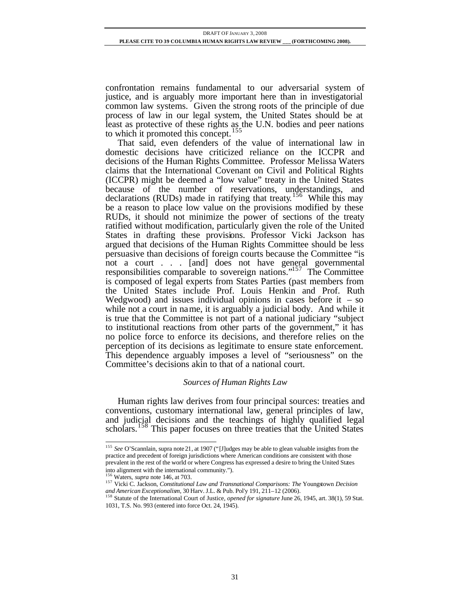confrontation remains fundamental to our adversarial system of justice, and is arguably more important here than in investigatorial common law systems. Given the strong roots of the principle of due process of law in our legal system, the United States should be at least as protective of these rights as the U.N. bodies and peer nations to which it promoted this concept.<sup>155</sup>

That said, even defenders of the value of international law in domestic decisions have criticized reliance on the ICCPR and decisions of the Human Rights Committee. Professor Melissa Waters claims that the International Covenant on Civil and Political Rights (ICCPR) might be deemed a "low value" treaty in the United States because of the number of reservations, understandings, and declarations (RUDs) made in ratifying that treaty.<sup>156</sup> While this may be a reason to place low value on the provisions modified by these RUDs, it should not minimize the power of sections of the treaty ratified without modification, particularly given the role of the United States in drafting these provisions. Professor Vicki Jackson has argued that decisions of the Human Rights Committee should be less persuasive than decisions of foreign courts because the Committee "is not a court . . . [and] does not have general governmental responsibilities comparable to sovereign nations."<sup>157</sup> The Committee is composed of legal experts from States Parties (past members from the United States include Prof. Louis Henkin and Prof. Ruth Wedgwood) and issues individual opinions in cases before it  $-$  so while not a court in name, it is arguably a judicial body. And while it is true that the Committee is not part of a national judiciary "subject to institutional reactions from other parts of the government," it has no police force to enforce its decisions, and therefore relies on the perception of its decisions as legitimate to ensure state enforcement. This dependence arguably imposes a level of "seriousness" on the Committee's decisions akin to that of a national court.

## *Sources of Human Rights Law*

Human rights law derives from four principal sources: treaties and conventions, customary international law, general principles of law, and judicial decisions and the teachings of highly qualified legal scholars.<sup>158</sup> This paper focuses on three treaties that the United States

<sup>155</sup> *See* O'Scannlain, supra note 21, at 1907 ("[J]udges may be able to glean valuable insights from the practice and precedent of foreign jurisdictions where American conditions are consistent with those prevalent in the rest of the world or where Congress has expressed a desire to bring the United States into alignment with the international community."). <sup>156</sup> Waters, *supra* note 146, at 703.

<sup>157</sup> Vicki C. Jackson, *Constitutional Law and Transnational Comparisons: The* Youngstown *Decision and American Exceptionalism*, 30 Harv. J.L. & Pub. Pol'y 191, 211–12 (2006).

<sup>&</sup>lt;sup>158</sup> Statute of the International Court of Justice, *opened for signature* June 26, 1945, art. 38(1), 59 Stat. 1031, T.S. No. 993 (entered into force Oct. 24, 1945).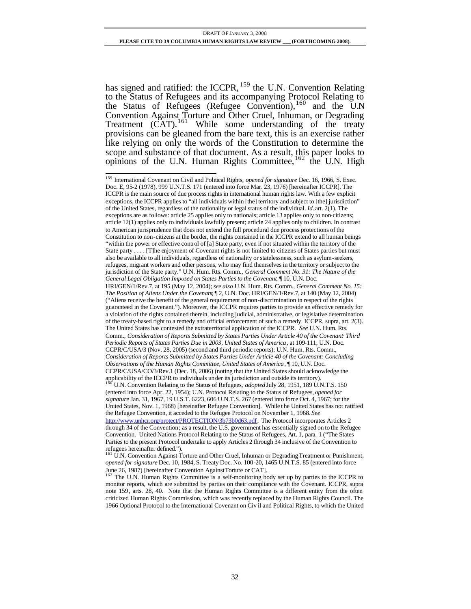has signed and ratified: the ICCPR, <sup>159</sup> the U.N. Convention Relating to the Status of Refugees and its accompanying Protocol Relating to the Status of Refugees (Refugee Convention),  $160$  and the U.N Convention Against Torture and Other Cruel, Inhuman, or Degrading Treatment (CAT).<sup>161</sup> While some understanding of the treaty provisions can be gleaned from the bare text, this is an exercise rather like relying on only the words of the Constitution to determine the scope and substance of that document. As a result, this paper looks to opinions of the U.N. Human Rights Committee, <sup>162</sup> the U.N. High

<sup>159</sup> International Covenant on Civil and Political Rights, *opened for signature* Dec. 16, 1966, S. Exec. Doc. E, 95-2 (1978), 999 U.N.T.S. 171 (entered into force Mar. 23, 1976) [hereinafter ICCPR]. The ICCPR is the main source of due process rights in international human rights law. With a few explicit exceptions, the ICCPR applies to "all individuals within [the] territory and subject to [the] jurisdiction" of the United States, regardless of the nationality or legal status of the individual. *Id.* art. 2(1). The exceptions are as follows: article 25 applies only to nationals; article 13 applies only to non-citizens; article 12(1) applies only to individuals lawfully present; article 24 applies only to children. In contrast to American jurisprudence that does not extend the full procedural due process protections of the Constitution to non-citizens at the border, the rights contained in the ICCPR extend to all human beings "within the power or effective control of [a] State party, even if not situated within the territory of the State party . . . . [T]he enjoyment of Covenant rights is not limited to citizens of States parties but must also be available to all individuals, regardless of nationality or statelessness, such as asylum-seekers, refugees, migrant workers and other persons, who may find themselves in the territory or subject to the jurisdiction of the State party." U.N. Hum. Rts. Comm., *General Comment No. 31: The Nature of the General Legal Obligation Imposed on States Parties to the Covenant*, ¶ 10, U.N. Doc. HRI/GEN/1/Rev.7, at 195 (May 12, 2004); *see also* U.N. Hum. Rts. Comm., *General Comment No. 15: The Position of Aliens Under the Covenant*, ¶ 2, U.N. Doc. HRI/GEN/1/Rev.7, at 140 (May 12, 2004) ("Aliens receive the benefit of the general requirement of non-discrimination in respect of the rights guaranteed in the Covenant."). Moreover, the ICCPR requires parties to provide an effective remedy for a violation of the rights contained therein, including judicial, administrative, or legislative determination of the treaty-based right to a remedy and official enforcement of such a remedy. ICCPR, supra, art. 2(3). The United States has contested the extraterritorial application of the ICCPR. *See* U.N. Hum. Rts. Comm., *Consideration of Reports Submitted by States Parties Under Article 40 of the Covenant: Third Periodic Reports of States Parties Due in 2003, United States of America*, at 109-111, U.N. Doc. CCPR/C/USA/3 (Nov. 28, 2005) (second and third periodic reports); U.N. Hum. Rts. Comm., *Consideration of Reports Submitted by States Parties Under Article 40 of the Covenant: Concluding Observations of the Human Rights Committee, United States of America*, ¶ 10, U.N. Doc. CCPR/C/USA/CO/3/Rev.1 (Dec. 18, 2006) (noting that the United States should acknowledge the applicability of the ICCPR to individuals under its jurisdiction and outside its territory). <sup>160</sup> U.N. Convention Relating to the Status of Refugees, *adopted* July 28, 1951, 189 U.N.T.S. 150 (entered into force Apr. 22, 1954); U.N. Protocol Relating to the Status of Refugees, *opened for signature* Jan. 31, 1967, 19 U.S.T. 6223, 606 U.N.T.S. 267 (entered into force Oct. 4, 1967; for the United States, Nov. 1, 1968) [hereinafter Refugee Convention]. While t he United States has not ratified the Refugee Convention, it acceded to the Refugee Protocol on November 1, 1968. *See*  http://www.unhcr.org/protect/PROTECTION/3b73b0d63.pdf. The Protocol incorporates Articles 2 through 34 of the Convention; as a result, the U.S. government has essentially signed on to the Refugee Convention. United Nations Protocol Relating to the Status of Refugees, Art. 1, para. 1 ("The States Parties to the present Protocol undertake to apply Articles 2 through 34 inclusive of the Convention to refugees hereinafter defined.").<br><sup>161</sup> U.N. Convention Against Torture and Other Cruel, Inhuman or Degrading Treatment or Punishment,

*opened for signature* Dec. 10, 1984, S. Treaty Doc. No. 100-20, 1465 U.N.T.S. 85 (entered into force June 26, 1987) [hereinafter Convention Against Torture or CAT].<br><sup>162</sup> The U.N. Human Rights Committee is a self-monitoring body set up by parties to the ICCPR to

monitor reports, which are submitted by parties on their compliance with the Covenant. ICCPR, supra note 159, arts. 28, 40. Note that the Human Rights Committee is a different entity from the often criticized Human Rights Commission, which was recently replaced by the Human Rights Council. The 1966 Optional Protocol to the International Covenant on Civ il and Political Rights, to which the United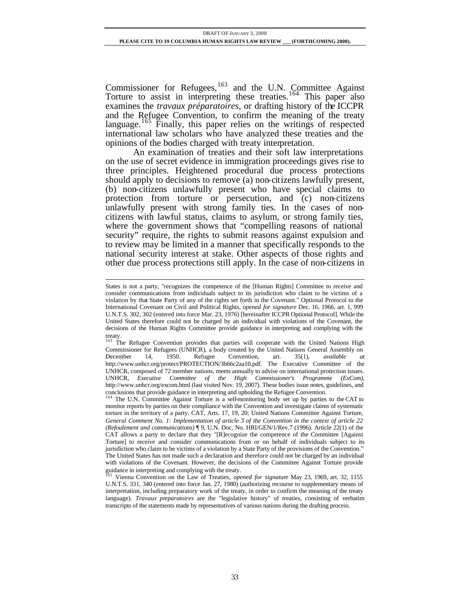Commissioner for Refugees, $163$  and the U.N. Committee Against Torture to assist in interpreting these treaties.<sup>164</sup> This paper also examines the *travaux préparatoires*, or drafting history of the ICCPR and the Refugee Convention, to confirm the meaning of the treaty language.<sup>165</sup> Finally, this paper relies on the writings of respected international law scholars who have analyzed these treaties and the opinions of the bodies charged with treaty interpretation.

An examination of treaties and their soft law interpretations on the use of secret evidence in immigration proceedings gives rise to three principles. Heightened procedural due process protections should apply to decisions to remove (a) non-citizens lawfully present, (b) non-citizens unlawfully present who have special claims to protection from torture or persecution, and (c) non-citizens unlawfully present with strong family ties. In the cases of noncitizens with lawful status, claims to asylum, or strong family ties, where the government shows that "compelling reasons of national security" require, the rights to submit reasons against expulsion and to review may be limited in a manner that specifically responds to the national security interest at stake. Other aspects of those rights and other due process protections still apply. In the case of non-citizens in

States is not a party, "recognizes the competence of the [Human Rights] Committee to receive and consider communications from individuals subject to its jurisdiction who claim to be victims of a violation by that State Party of any of the rights set forth in the Covenant." Optional Protocol to the International Covenant on Civil and Political Rights, *opened for signature* Dec. 16, 1966, art. 1, 999 U.N.T.S. 302, 302 (entered into force Mar. 23, 1976) [hereinafter ICCPR Optional Protocol]. While the United States therefore could not be charged by an individual with violations of the Covenant, the decisions of the Human Rights Committee provide guidance in interpreting and complying with the

treaty.<br><sup>163</sup> The Refugee Convention provides that parties will cooperate with the United Nations High Commissioner for Refugees (UNHCR), a body created by the United Nations General Assembly on December 14, 1950. Refugee Convention, art. 35(1), *available at* December 14, 1950. Refugee Convention, art. 35(1), *available at* http://www.unhcr.org/protect/PROTECTION/3b66c2aa10.pdf. The Executive Committee of the UNHCR, composed of 72 member nations, meets annually to advise on international protection issues. UNHCR, *Executive Committee of the High Commissioner's Programme (ExCom),* http://www.unhcr.org/excom.html (last visited Nov. 19, 2007). These bodies issue notes, guidelines, and conclusions that provide guidance in interpreting and upholding the Refugee Convention.

<sup>164</sup> The U.N. Committee Against Torture is a self-monitoring body set up by parties to the CAT to monitor reports by parties on their compliance with the Convention and investigate claims of systematic torture in the territory of a party. CAT, Arts. 17, 19, 20; United Nations Committee Against Torture, *General Comment No. 1: Implementation of article 3 of the Convention in the context of article 22 (Refoulement and communications)* ¶ 9, U.N. Doc. No. HRI/GEN/1/Rev.7 (1996). Article 22(1) of the CAT allows a party to declare that they "[R]ecognize the competence of the Committee [Against Torture] to receive and consider communications from or on behalf of individuals subject to its jurisdiction who claim to be victims of a violation by a State Party of the provisions of the Convention." The United States has not made such a declaration and therefore could not be charged by an individual with violations of the Covenant. However, the decisions of the Committee Against Torture provide guidance in interpreting and complying with the treaty.

<sup>165</sup> Vienna Convention on the Law of Treaties, *opened for signature* May 23, 1969, art. 32, 1155 U.N.T.S. 331, 340 (entered into force Jan. 27, 1980) (authorizing recourse to supplementary means of interpretation, including preparatory work of the treaty, in order to confirm the meaning of the treaty language). *Travaux preparatoires* are the "legislative history" of treaties, consisting of verbatim transcripts of the statements made by representatives of various nations during the drafting process.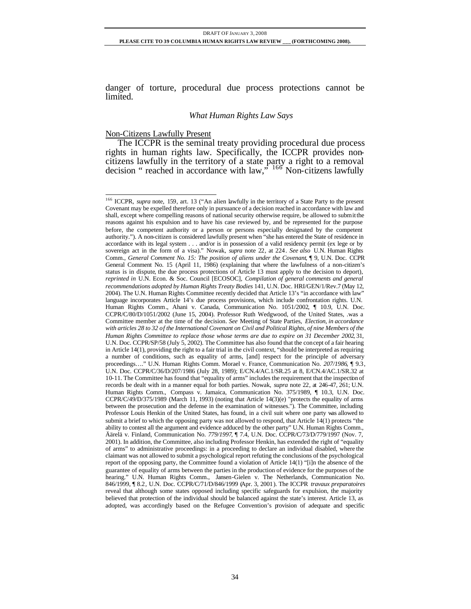danger of torture, procedural due process protections cannot be limited.

#### *What Human Rights Law Says*

#### Non-Citizens Lawfully Present

l

The ICCPR is the seminal treaty providing procedural due process rights in human rights law. Specifically, the ICCPR provides noncitizens lawfully in the territory of a state party a right to a removal decision " reached in accordance with law," <sup>166</sup> Non-citizens lawfully

<sup>&</sup>lt;sup>166</sup> ICCPR, *supra* note, 159, art. 13 ("An alien lawfully in the territory of a State Party to the present Covenant may be expelled therefore only in pursuance of a decision reached in accordance with law and shall, except where compelling reasons of national security otherwise require, be allowed to submit the reasons against his expulsion and to have his case reviewed by, and be represented for the purpose before, the competent authority or a person or persons especially designated by the competent authority."). A non-citizen is considered lawfully present when "she has entered the State of residence in accordance with its legal system . . . and/or is in possession of a valid residency permit (ex lege or by sovereign act in the form of a visa)." Nowak, *supra* note 22, at 224. *See also* U.N. Human Rights Comm., *General Comment No. 15: The position of aliens under the Covenant*, ¶ 9, U.N. Doc. CCPR General Comment No. 15 (April 11, 1986) (explaining that where the lawfulness of a non-citizen's status is in dispute, the due process protections of Article 13 must apply to the decision to deport), *reprinted in* U.N. Econ. & Soc. Council [ECOSOC], *Compilation of general comments and general recommendations adopted by Human Rights Treaty Bodies* 141, U.N. Doc. HRI/GEN/1/Rev.7 (May 12, 2004). The U.N. Human Rights Committee recently decided that Article 13's "in accordance with law" language incorporates Article 14's due process provisions, which include confrontation rights. U.N. Human Rights Comm., Ahani v. Canada, Communication No. 1051/2002, ¶ 10.9, U.N. Doc. CCPR/C/80/D/1051/2002 (June 15, 2004). Professor Ruth Wedgwood, of the United States, .was a Committee member at the time of the decision. *See* Meeting of State Parties, *Election, in accordance with articles 28 to 32 of the International Covenant on Civil and Political Rights, of nine Members of the Human Rights Committee to replace those whose terms are due to expire on 31 December 2002*, 31, U.N. Doc. CCPR/SP/58 (July 5, 2002). The Committee has also found that the concept of a fair hearing in Article 14(1), providing the right to a fair trial in the civil context, "should be interpreted as requiring a number of conditions, such as equality of arms, [and] respect for the principle of adversary proceedings…." U.N. Human Rights Comm. Morael v. France, Communication No. *207/1986*, ¶ 9.3, U.N. Doc. CCPR/C/36/D/207/1986 (July 28, 1989); E/CN.4/AC.1/SR.25 at 8, E/CN.4/AC.1/SR.32 at 10-11. The Committee has found that "equality of arms" includes the requirement that the inspection of records be dealt with in a manner equal for both parties. Nowak, *supra* note 22, at 246-47, 261; U.N. Human Rights Comm., Compass v. Jamaica, Communication No. 375/1989, ¶ 10.3, U.N. Doc. CCPR/C/49/D/375/1989 (March 11, 1993) (noting that Article 14(3)(e) "protects the equality of arms between the prosecution and the defense in the examination of witnesses."). The Committee, including Professor Louis Henkin of the United States, has found, in a civil suit where one party was allowed to submit a brief to which the opposing party was not allowed to respond, that Article 14(1) protects "the ability to contest all the argument and evidence adduced by the other party" U.N. Human Rights Comm., Äärelä v. Finland, Communication No. *779/1997*, ¶ 7.4, U.N. Doc. CCPR/C/73/D/779/1997 (Nov. 7, 2001). In addition, the Committee, also including Professor Henkin, has extended the right of "equality of arms" to administrative proceedings: in a proceeding to declare an individual disabled, where the claimant was not allowed to submit a psychological report refuting the conclusions of the psychological report of the opposing party, the Committee found a violation of Article 14(1) "[i]n the absence of the guarantee of equality of arms between the parties in the production of evidence for the purposes of the hearing." U.N. Human Rights Comm., Jansen-Gielen v. The Netherlands, Communication No. 846/1999, ¶ 8.2, U.N. Doc. CCPR/C/71/D/846/1999 (Apr. 3, 2001). The ICCPR *travaux preparatoires* reveal that although some states opposed including specific safeguards for expulsion, the majority believed that protection of the individual should be balanced against the state's interest. Article 13, as adopted, was accordingly based on the Refugee Convention's provision of adequate and specific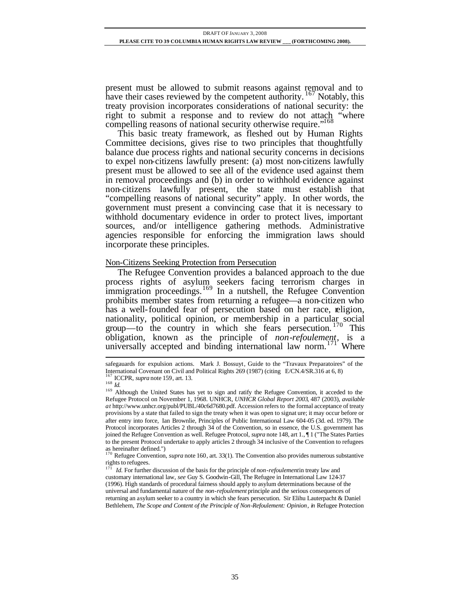present must be allowed to submit reasons against removal and to have their cases reviewed by the competent authority.  $167$  Notably, this treaty provision incorporates considerations of national security: the right to submit a response and to review do not attach "where compelling reasons of national security otherwise require."<sup>168</sup>

This basic treaty framework, as fleshed out by Human Rights Committee decisions, gives rise to two principles that thoughtfully balance due process rights and national security concerns in decisions to expel non-citizens lawfully present: (a) most non-citizens lawfully present must be allowed to see all of the evidence used against them in removal proceedings and (b) in order to withhold evidence against non-citizens lawfully present, the state must establish that "compelling reasons of national security" apply. In other words, the government must present a convincing case that it is necessary to withhold documentary evidence in order to protect lives, important sources, and/or intelligence gathering methods. Administrative agencies responsible for enforcing the immigration laws should incorporate these principles.

## Non-Citizens Seeking Protection from Persecution

The Refugee Convention provides a balanced approach to the due process rights of asylum seekers facing terrorism charges in immigration proceedings.<sup>169</sup> In a nutshell, the Refugee Convention prohibits member states from returning a refugee—a non-citizen who has a well-founded fear of persecution based on her race, religion, nationality, political opinion, or membership in a particular social group—to the country in which she fears persecution. <sup>170</sup> This obligation, known as the principle of *non-refoulement*, is a universally accepted and binding international law norm.<sup>171</sup> Where

l

as hereinafter defined.") <sup>170</sup> Refugee Convention, *supra* note 160, art. 33(1). The Convention also provides numerous substantive rights to refugees.

171 *Id.* For further discussion of the basis for the principle of *non-refoulement* in treaty law and customary international law, *see* Guy S. Goodwin-Gill, The Refugee in International Law 124-37 (1996). High standards of procedural fairness should apply to asylum determinations because of the universal and fundamental nature of the *non-refoulement* principle and the serious consequences of returning an asylum seeker to a country in which she fears persecution. Sir Elihu Lauterpacht & Daniel Bethlehem, *The Scope and Content of the Principle of Non-Refoulement: Opinion*, *in* Refugee Protection

safegauards for expulsion actions. Mark J. Bossuyt, Guide to the "Travaux Preparatoires" of the International Covenant on Civil and Political Rights 269 (1987) (citing E/CN.4/SR.316 at 6, 8)  $<sup>7</sup>$  ICCPR, *supra* note 159, art. 13.</sup>

<sup>168</sup> *Id.*

<sup>&</sup>lt;sup>169</sup> Although the United States has yet to sign and ratify the Refugee Convention, it acceded to the Refugee Protocol on November 1, 1968. UNHCR, *UNHCR Global Report 2003*, 487 (2003), *available at* http://www.unhcr.org/publ/PUBL/40c6d7680.pdf. Accession refers to the formal acceptance of treaty provisions by a state that failed to sign the treaty when it was open to signat ure; it may occur before or after entry into force, Ian Brownlie, Principles of Public International Law 604-05 (3d. ed. 1979). The Protocol incorporates Articles 2 through 34 of the Convention, so in essence, the U.S. government has joined the Refugee Convention as well. Refugee Protocol, *supra* note 148, art 1., ¶ 1 ("The States Parties to the present Protocol undertake to apply articles 2 through 34 inclusive of the Convention to refugees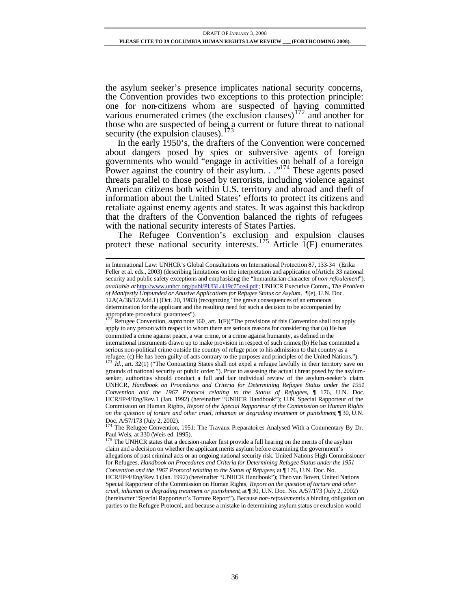the asylum seeker's presence implicates national security concerns, the Convention provides two exceptions to this protection principle: one for non-citizens whom are suspected of having committed various enumerated crimes (the exclusion clauses)<sup>172</sup> and another for those who are suspected of being a current or future threat to national security (the expulsion clauses).  $\frac{173}{6}$ 

In the early 1950's, the drafters of the Convention were concerned about dangers posed by spies or subversive agents of foreign governments who would "engage in activities on behalf of a foreign Power against the country of their asylum.  $\cdot$ <sup>174</sup> These agents posed threats parallel to those posed by terrorists, including violence against American citizens both within U.S. territory and abroad and theft of information about the United States' efforts to protect its citizens and retaliate against enemy agents and states. It was against this backdrop that the drafters of the Convention balanced the rights of refugees with the national security interests of States Parties.

The Refugee Convention's exclusion and expulsion clauses protect these national security interests.<sup>175</sup> Article  $1(F)$  enumerates

in International Law: UNHCR's Global Consultations on International Protection 87, 133-34 (Erika Feller et al. eds., 2003) (describing limitations on the interpretation and application ofArticle 33 national security and public safety exceptions and emphasizing the "humanitarian character of *non-refoulement*"). *available at*http://www.unhcr.org/publ/PUBL/419c75ce4.pdf; UNHCR Executive Comm.*, The Problem of Manifestly Unfounded or Abusive Applications for Refugee Status or Asylum*, ¶(e), U.N. Doc. 12A(A/38/12/Add.1) (Oct. 20, 1983) (recognizing "the grave consequences of an erroneous determination for the applicant and the resulting need for such a decision to be accompanied by appropriate procedural guarantees").

<sup>172</sup> Refugee Convention, *supra* note 160, art. 1(F)("The provisions of this Convention shall not apply apply to any person with respect to whom there are serious reasons for considering that (a) He has committed a crime against peace, a war crime, or a crime against humanity, as defined in the international instruments drawn up to make provision in respect of such crimes;(b) He has committed a serious non-political crime outside the country of refuge prior to his admission to that country as a refugee; (c) He has been guilty of acts contrary to the purposes and principles of the United Nations.").

<sup>&</sup>lt;sup>173</sup> *Id.*, art. 32(1) ("The Contracting States shall not expel a refugee lawfully in their territory save on grounds of national security or public order."). Prior to assessing the actual t hreat posed by the asylumseeker, authorities should conduct a full and fair individual review of the asylum-seeker's claim. UNHCR, *Handbook on Procedures and Criteria for Determining Refugee Status under the 1951 Convention and the 1967 Protocol relating to the Status of Refugees*, ¶ 176, U.N. Doc. HCR/IP/4/Eng/Rev.1 (Jan. 1992) (hereinafter "UNHCR Handbook"); U.N. Special Rapporteur of the Commission on Human Rights, *Report of the Special Rapporteur of the Commission on Human Rights on the question of torture and other cruel, inhuman or degrading treatment or punishment*, 130, U.N. Doc.  $A/57/173$  (July 2, 2002).

<sup>174</sup> The Refugee Convention, 1951: The Travaux Preparatoires Analysed With a Commentary By Dr. Paul Weis, at 330 (Weis ed. 1995).

<sup>&</sup>lt;sup>175</sup> The UNHCR states that a decision-maker first provide a full hearing on the merits of the asylum claim and a decision on whether the applicant merits asylum before examining the government's allegations of past criminal acts or an ongoing national security risk. United Nations High Commissioner for Refugees, *Handbook on Procedures and Criteria for Determining Refugee Status under the 1951 Convention and the 1967 Protocol relating to the Status of Refugees*, at ¶ 176, U.N. Doc. No. HCR/IP/4/Eng/Rev.1 (Jan. 1992) (hereinafter "UNHCR Handbook"); Theo van Boven, United Nations Special Rapporteur of the Commission on Human Rights, *Report on the question of torture and other cruel, inhuman or degrading treatment or punishment*, at ¶ 30, U.N. Doc. No. A/57/173 (July 2, 2002) (hereinafter "Special Rapporteur's Torture Report"). Because *non-refoulement* is a binding obligation on parties to the Refugee Protocol, and because a mistake in determining asylum status or exclusion would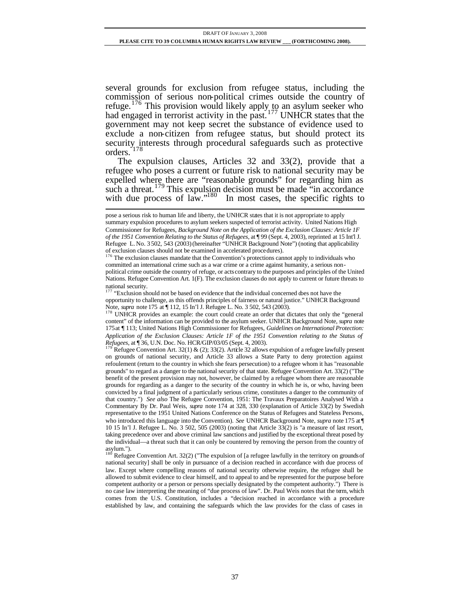several grounds for exclusion from refugee status, including the commission of serious non-political crimes outside the country of refuge.<sup>176</sup> This provision would likely apply to an asylum seeker who had engaged in terrorist activity in the past.<sup>177</sup> UNHCR states that the government may not keep secret the substance of evidence used to exclude a non-citizen from refugee status, but should protect its security interests through procedural safeguards such as protective orders.<sup>178</sup>

The expulsion clauses, Articles 32 and 33(2), provide that a refugee who poses a current or future risk to national security may be expelled where there are "reasonable grounds" for regarding him as such a threat.<sup>179</sup> This expulsion decision must be made "in accordance" with due process of law." $180$  In most cases, the specific rights to

l

Refugee Convention Art. 32(1) & (2); 33(2). Article 32 allows expulsion of a refugee lawfully present on grounds of national security, and Article 33 allows a State Party to deny protection against refoulement (return to the country in which she fears persecution) to a refugee whom it has "reasonable grounds" to regard as a danger to the national security of that state. Refugee Convention Art. 33(2) ("The benefit of the present provision may not, however, be claimed by a refugee whom there are reasonable grounds for regarding as a danger to the security of the country in which he is, or who, having been convicted by a final judgment of a particularly serious crime, constitutes a danger to the community of that country.") *See also* The Refugee Convention, 1951: The Travaux Preparatoires Analysed With a Commentary By Dr. Paul Weis, *supra* note 174 at 328, 330 (explanation of Article 33(2) by Swedish representative to the 1951 United Nations Conference on the Status of Refugees and Stateless Persons, who introduced this language into the Convention). *See* UNHCR Background Note, *supra* note 175 at ¶ 10 15 In'l J. Refugee L. No. 3 502, 505 (2003) (noting that Article 33(2) is "a measure of last resort, taking precedence over and above criminal law sanctions and justified by the exceptional threat posed by the individual—a threat such that it can only be countered by removing the person from the country of  $\frac{180 \text{ m}}{180 \text{ m}}$ .

Refugee Convention Art. 32(2) ("The expulsion of [a refugee lawfully in the territory on grounds of national security] shall be only in pursuance of a decision reached in accordance with due process of law. Except where compelling reasons of national security otherwise require, the refugee shall be allowed to submit evidence to clear himself, and to appeal to and be represented for the purpose before competent authority or a person or persons specially designated by the competent authority.") There is no case law interpreting the meaning of "due process of law". Dr. Paul Weis notes that the term, which comes from the U.S. Constitution, includes a "decision reached in accordance with a procedure established by law, and containing the safeguards which the law provides for the class of cases in

pose a serious risk to human life and liberty, the UNHCR states that it is not appropriate to apply summary expulsion procedures to asylum seekers suspected of terrorist activity. United Nations High Commissioner for Refugees, *Background Note on the Application of the Exclusion Clauses: Article 1F of the 1951 Convention Relating to the Status of Refugees*, at ¶ 99 (Sept. 4, 2003), reprinted at 15 Int'l J. Refugee L. No. 3 502, 543 (2003) (hereinafter "UNHCR Background Note") (noting that applicability of exclusion clauses should not be examined in accelerated procedures).

<sup>&</sup>lt;sup>176</sup> The exclusion clauses mandate that the Convention's protections cannot apply to individuals who committed an international crime such as a war crime or a crime against humanity, a serious nonpolitical crime outside the country of refuge, or acts contrary to the purposes and principles of the United Nations. Refugee Convention Art. 1(F). The exclusion clauses do not apply to current or future threats to national security.

<sup>177</sup> "Exclusion should not be based on evidence that the individual concerned does not have the opportunity to challenge, as this offends principles of fairness or natural justice." UNHCR Background Note, *supra* note 175 at ¶ 112, 15 In'l J. Refugee L. No. 3 502, 543 (2003).

<sup>&</sup>lt;sup>178</sup> UNHCR provides an example: the court could create an order that dictates that only the "general content" of the information can be provided to the asylum seeker. UNHCR Background Note, *supra* note 175at ¶ 113; United Nations High Commissioner for Refugees, *Guidelines on International Protection: Application of the Exclusion Clauses: Article 1F of the 1951 Convention relating to the Status of Refugees*, at ¶ 36, U.N. Doc. No. HCR/GIP/03/05 (Sept. 4, 2003).<br><sup>179</sup> Pofices et ®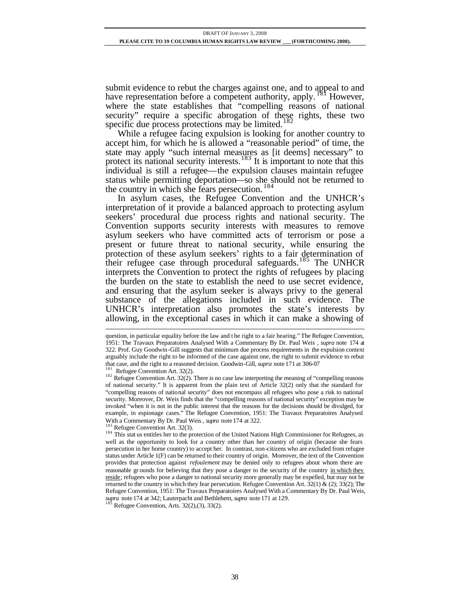submit evidence to rebut the charges against one, and to appeal to and have representation before a competent authority, apply. <sup>181</sup> However, where the state establishes that "compelling reasons of national security" require a specific abrogation of these rights, these two specific due process protections may be limited.<sup>182</sup>

While a refugee facing expulsion is looking for another country to accept him, for which he is allowed a "reasonable period" of time, the state may apply "such internal measures as [it deems] necessary" to protect its national security interests.<sup>183</sup> It is important to note that this individual is still a refugee—the expulsion clauses maintain refugee status while permitting deportation—so she should not be returned to the country in which she fears persecution.<sup>184</sup>

In asylum cases, the Refugee Convention and the UNHCR's interpretation of it provide a balanced approach to protecting asylum seekers' procedural due process rights and national security. The Convention supports security interests with measures to remove asylum seekers who have committed acts of terrorism or pose a present or future threat to national security, while ensuring the protection of these asylum seekers' rights to a fair determination of their refugee case through procedural safeguards.<sup>185</sup> The UNHCR interprets the Convention to protect the rights of refugees by placing the burden on the state to establish the need to use secret evidence, and ensuring that the asylum seeker is always privy to the general substance of the allegations included in such evidence. The UNHCR's interpretation also promotes the state's interests by allowing, in the exceptional cases in which it can make a showing of

Refugee Convention Art. 32(2).

l

Refugee Convention Art. 32(3).

Refugee Convention, Arts.  $32(2),(3), 33(2)$ .

question, in particular equality before the law and t he right to a fair hearing." The Refugee Convention, 1951: The Travaux Preparatoires Analysed With a Commentary By Dr. Paul Weis , *supra* note 174 at 322. Prof. Guy Goodwin-Gill suggests that minimum due process requirements in the expulsion context arguably include the right to be informed of the case against one, the right to submit evidence to rebut that case, and the right to a reasoned decision. Goodwin-Gill, *supra* note 171 at 306-07

<sup>&</sup>lt;sup>182</sup> Refugee Convention Art. 32(2). There is no case law interpreting the meaning of "compelling reasons" of national security." It is apparent from the plain text of Article 32(2) only that the standard for "compelling reasons of national security" does not encompass all refugees who pose a risk to national security. Moreover, Dr. Weis finds that the "compelling reasons of national security" exception may be invoked "when it is not in the public interest that the reasons for the decisions should be divulged, for example, in espionage cases." The Refugee Convention, 1951: The Travaux Preparatoires Analysed With a Commentary By Dr. Paul Weis, *supra* note 174 at 322.

<sup>&</sup>lt;sup>184</sup> This stat us entitles her to the protection of the United Nations High Commissioner for Refugees, as well as the opportunity to look for a country other than her country of origin (because she fears persecution in her home country) to accept her. In contrast, non-citizens who are excluded from refugee status under Article 1(F) can be returned to their country of origin. Moreover, the text of the Convention provides that protection against *refoulement* may be denied only to refugees about whom there are reasonable gr ounds for believing that they pose a danger to the security of the country in which they reside; refugees who pose a danger to national security more generally may be expelled, but may not be returned to the country in which they fear persecution. Refugee Convention Art.  $32(1) \& (2)$ ;  $33(2)$ ; The Refugee Convention, 1951: The Travaux Preparatoires Analysed With a Commentary By Dr. Paul Weis, *supra* note 174 at 342; Lauterpacht and Bethlehem, *supra* note 171 at 129.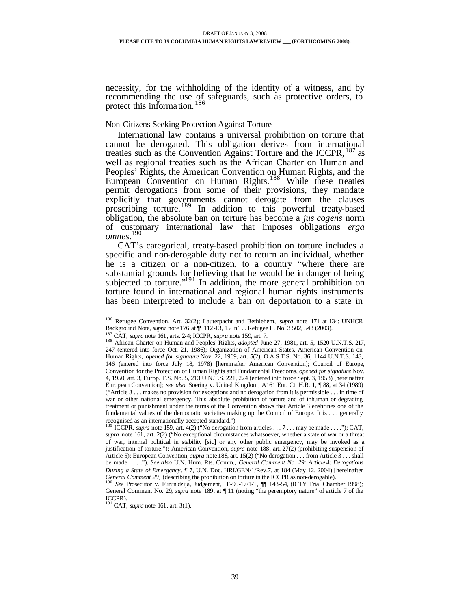necessity, for the withholding of the identity of a witness, and by recommending the use of safeguards, such as protective orders, to protect this information.<sup>186</sup>

# Non-Citizens Seeking Protection Against Torture

International law contains a universal prohibition on torture that cannot be derogated. This obligation derives from international treaties such as the Convention Against Torture and the ICCPR, <sup>187</sup> as well as regional treaties such as the African Charter on Human and Peoples' Rights, the American Convention on Human Rights, and the European Convention on Human Rights.<sup>188</sup> While these treaties permit derogations from some of their provisions, they mandate explicitly that governments cannot derogate from the clauses proscribing torture.<sup>189</sup> In addition to this powerful treaty-based obligation, the absolute ban on torture has become a *jus cogens* norm of customary international law that imposes obligations *erga omnes*. 190

CAT's categorical, treaty-based prohibition on torture includes a specific and non-derogable duty not to return an individual, whether he is a citizen or a non-citizen, to a country "where there are substantial grounds for believing that he would be in danger of being subjected to torture." $191$  In addition, the more general prohibition on torture found in international and regional human rights instruments has been interpreted to include a ban on deportation to a state in

l <sup>186</sup> Refugee Convention, Art. 32(2); Lauterpacht and Bethlehem, *supra* note 171 at 134; UNHCR Background Note, *supra* note 176 at  $\P$  112-13, 15 In'l J. Refugee L. No. 3 502, 543 (2003).

<sup>187</sup> CAT, *supra* note 161, arts. 2-4; ICCPR, *supra* note 159, art. 7.

<sup>188</sup> African Charter on Human and Peoples' Rights, *adopted* June 27, 1981, art. 5, 1520 U.N.T.S. 217, 247 (entered into force Oct. 21, 1986); Organization of American States, American Convention on Human Rights, *opened for signature* Nov. 22, 1969, art. 5(2), O.A.S.T.S. No. 36, 1144 U.N.T.S. 143, 146 (entered into force July 18, 1978) [herein after American Convention]; Council of Europe, Convention for the Protection of Human Rights and Fundamental Freedoms, *opened for signature* Nov. 4, 1950, art. 3, Europ. T.S. No. 5, 213 U.N.T.S. 221, 224 (entered into force Sept. 3, 1953) [hereinafter European Convention]; *see also* Soering v. United Kingdom, A161 Eur. Ct. H.R. 1, ¶ 88, at 34 (1989) ("Article 3 . . . makes no provision for exceptions and no derogation from it is permissible . . . in time of war or other national emergency. This absolute prohibition of torture and of inhuman or degrading treatment or punishment under the terms of the Convention shows that Article 3 enshrines one of the fundamental values of the democratic societies making up the Council of Europe. It is . . . generally recognised as an internationally accepted standard.")<br><sup>189</sup> ICCPR, *supra* note 159, art. 4(2) ("No derogation from articles . . . 7 . . . may be made . . . ."); CAT,

*supra* note 161, art. 2(2) ("No exceptional circumstances whatsoever, whether a state of war or a threat of war, internal political in stability [sic] or any other public emergency, may be invoked as a justification of torture."); American Convention, *supra* note 188, art. 27(2) (prohibiting suspension of Article 5); European Convention, *supra* note 188, art. 15(2) ("No derogation . . . from Article 3 . . . shall be made . . . ."). *See also* U.N. Hum. Rts. Comm., *General Comment No. 29: Article 4: Derogations During a State of Emergency*, ¶ 7, U.N. Doc. HRI/GEN/1/Rev.7, at 184 (May 12, 2004) [hereinafter *General Comment 29*] (describing the prohibition on torture in the ICCPR as non-derogable).

<sup>190</sup> *See* Prosecutor v. Furun dzija, Judgement, IT-95-17/1-T, ¶¶ 143-54, (ICTY Trial Chamber 1998); General Comment No. 29, *supra* note 189, at  $\P$  11 (noting "the peremptory nature" of article 7 of the ICCPR). <sup>191</sup> CAT, *supra* note 161, art. 3(1).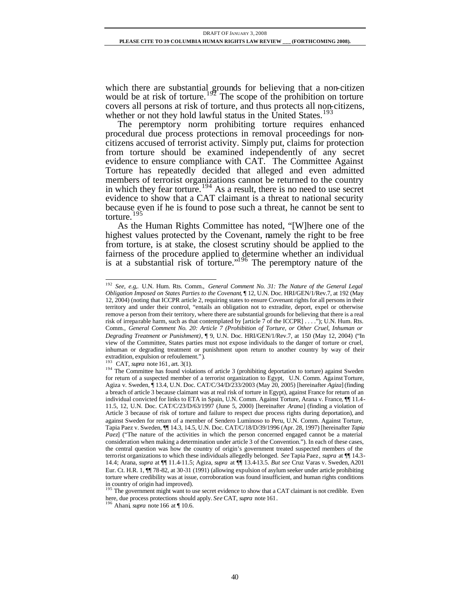which there are substantial grounds for believing that a non-citizen would be at risk of torture.<sup>192</sup> The scope of the prohibition on torture covers all persons at risk of torture, and thus protects all non-citizens, whether or not they hold lawful status in the United States.<sup>193</sup>

The peremptory norm prohibiting torture requires enhanced procedural due process protections in removal proceedings for noncitizens accused of terrorist activity. Simply put, claims for protection from torture should be examined independently of any secret evidence to ensure compliance with CAT. The Committee Against Torture has repeatedly decided that alleged and even admitted members of terrorist organizations cannot be returned to the country in which they fear torture.<sup>194</sup> As a result, there is no need to use secret evidence to show that a CAT claimant is a threat to national security because even if he is found to pose such a threat, he cannot be sent to torture.<sup>195</sup>

As the Human Rights Committee has noted, "[W]here one of the highest values protected by the Covenant, namely the right to be free from torture, is at stake, the closest scrutiny should be applied to the fairness of the procedure applied to determine whether an individual is at a substantial risk of torture."<sup>196</sup> The peremptory nature of the

<sup>192</sup> *See, e.g*,*.* U.N. Hum. Rts. Comm., *General Comment No. 31: The Nature of the General Legal Obligation Imposed on States Parties to the Covenant*, ¶ 12, U.N. Doc. HRI/GEN/1/Rev.7, at 192 (May 12, 2004) (noting that ICCPR article 2, requiring states to ensure Covenant rights for all persons in their territory and under their control, "entails an obligation not to extradite, deport, expel or otherwise remove a person from their territory, where there are substantial grounds for believing that there is a real risk of irreparable harm, such as that contemplated by [article 7 of the ICCPR] . . . ."); U.N. Hum. Rts. Comm., *General Comment No. 20: Article 7 (Prohibition of Torture, or Other Cruel, Inhuman or Degrading Treatment or Punishment)*, ¶ 9, U.N. Doc. HRI/GEN/1/Rev.7, at 150 (May 12, 2004) ("In view of the Committee, States parties must not expose individuals to the danger of torture or cruel, inhuman or degrading treatment or punishment upon return to another country by way of their extradition, expulsion or refoulement.").

<sup>193</sup> CAT, *supra* note 161, art. 3(1).

<sup>&</sup>lt;sup>194</sup> The Committee has found violations of article 3 (prohibiting deportation to torture) against Sweden for return of a suspected member of a terrorist organization to Egypt, U.N. Comm. Against Torture, Agiza v. Sweden, ¶ 13.4, U.N. Doc. CAT/C/34/D/233/2003 (May 20, 2005) [hereinafter *Agiza*] (finding a breach of article 3 because claimant was at real risk of torture in Egypt), against France for return of an individual convicted for links to ETA in Spain, U.N. Comm. Against Torture, Arana v. France, ¶¶ 11.4- 11.5, 12, U.N. Doc. CAT/C/23/D/63/1997 (June 5, 2000) [hereinafter *Arana*] (finding a violation of Article 3 because of risk of torture and failure to respect due process rights during deportation), and against Sweden for return of a member of Sendero Luminoso to Peru, U.N. Comm. Against Torture, Tapia Paez v. Sweden, ¶¶ 14.3, 14.5, U.N. Doc. CAT/C/18/D/39/1996 (Apr. 28, 1997) [hereinafter *Tapia Paez*] ("The nature of the activities in which the person concerned engaged cannot be a material consideration when making a determination under article 3 of the Convention."). In each of these cases, the central question was how the country of origin's government treated suspected members of the terrorist organizations to which these individuals allegedly belonged. *See* Tapia Paez, *supra* at ¶¶ 14.3- 14.4; Arana, *supra* at ¶¶ 11.4-11.5; Agiza, *supra* at ¶¶ 13.4-13.5. *But see* Cruz Varas v. Sweden, A201 Eur. Ct. H.R. 1, ¶¶ 78-82, at 30-31 (1991) (allowing expulsion of asylum seeker under article prohibiting torture where credibility was at issue, corroboration was found insufficient, and human rights conditions

in country of origin had improved).<br><sup>195</sup> The government might want to use secret evidence to show that a CAT claimant is not credible. Even here, due process protections should apply. *See* CAT, *supra* note 161. <sup>196</sup> Ahani, *supra* note 166 at ¶ 10.6.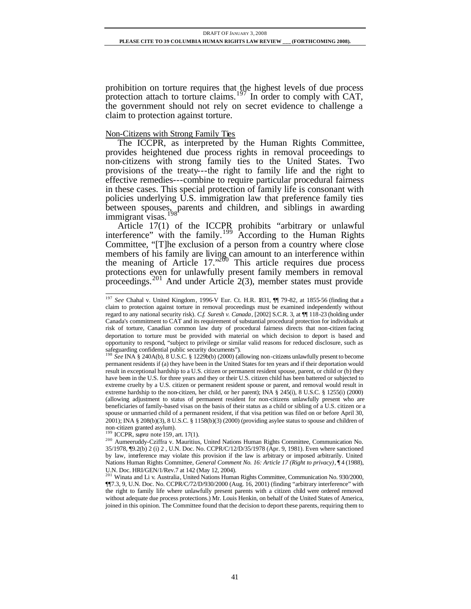prohibition on torture requires that the highest levels of due process protection attach to torture claims.<sup>197</sup> In order to comply with CAT, the government should not rely on secret evidence to challenge a claim to protection against torture.

## Non-Citizens with Strong Family Ties

The ICCPR, as interpreted by the Human Rights Committee, provides heightened due process rights in removal proceedings to non-citizens with strong family ties to the United States. Two provisions of the treaty---the right to family life and the right to effective remedies---combine to require particular procedural fairness in these cases. This special protection of family life is consonant with policies underlying U.S. immigration law that preference family ties between spouses, parents and children, and siblings in awarding immigrant visas.<sup>198</sup>

Article  $17(1)$  of the ICCPR prohibits "arbitrary or unlawful interference" with the family.<sup>199</sup> According to the Human Rights Committee, "[T]he exclusion of a person from a country where close members of his family are living can amount to an interference within the meaning of Article 17. $n^{260}$  This article requires due process protections even for unlawfully present family members in removal proceedings.<sup>201</sup> And under Article 2(3), member states must provide

non-citizen granted asylum). <sup>199</sup> ICCPR, *supra* note 159, art. 17(1).

l <sup>197</sup> *See* Chahal v. United Kingdom, 1996-V Eur. Ct. H.R. 1831, ¶¶ 79-82, at 1855-56 (finding that a claim to protection against torture in removal proceedings must be examined independently without regard to any national security risk). *C.f. Suresh v. Canada*, [2002] S.C.R. 3, at ¶¶ 118-23 (holding under Canada's commitment to CAT and its requirement of substantial procedural protection for individuals at risk of torture, Canadian common law duty of procedural fairness directs that non-citizen facing deportation to torture must be provided with material on which decision to deport is based and opportunity to respond, "subject to privilege or similar valid reasons for reduced disclosure, such as safeguarding confidential public security documents"). <sup>198</sup> *See* INA § 240A(b), 8 U.S.C. § 1229b(b) (2000) (allowing non-citizens unlawfully present to become

permanent residents if (a) they have been in the United States for ten years and if their deportation would result in exceptional hardship to a U.S. citizen or permanent resident spouse, parent, or child or (b) they have been in the U.S. for three years and they or their U.S. citizen child has been battered or subjected to extreme cruelty by a U.S. citizen or permanent resident spouse or parent, and removal would result in extreme hardship to the non-citizen, her child, or her parent); INA § 245(i), 8 U.S.C. § 1255(i) (2000) (allowing adjustment to status of permanent resident for non-citizens unlawfully present who are beneficiaries of family-based visas on the basis of their status as a child or sibling of a U.S. citizen or a spouse or unmarried child of a permanent resident, if that visa petition was filed on or before April 30, 2001); INA § 208(b)(3), 8 U.S.C. § 1158(b)(3) (2000) (providing asylee status to spouse and children of

<sup>200</sup> Aumeeruddy-Cziffra v. Mauritius, United Nations Human Rights Committee, Communication No. 35/1978, ¶9.2(b) 2 (i) 2 , U.N. Doc. No. CCPR/C/12/D/35/1978 (Apr. 9, 1981). Even where sanctioned by law, interference may violate this provision if the law is arbitrary or imposed arbitrarily. United Nations Human Rights Committee, *General Comment No. 16: Article 17 (Right to privacy)*, ¶ 4 (1988), U.N. Doc. HRI/GEN/1/Rev.7 at 142 (May 12, 2004).<br><sup>201</sup> Winata and Li v. Australia, United Nations Human Rights Committee, Communication No. 930/2000,

<sup>¶¶7.3, 9,</sup> U.N. Doc. No. CCPR/C/72/D/930/2000 (Aug. 16, 2001) (finding "arbitrary interference" with the right to family life where unlawfully present parents with a citizen child were ordered removed without adequate due process protections.) Mr. Louis Henkin, on behalf of the United States of America, joined in this opinion. The Committee found that the decision to deport these parents, requiring them to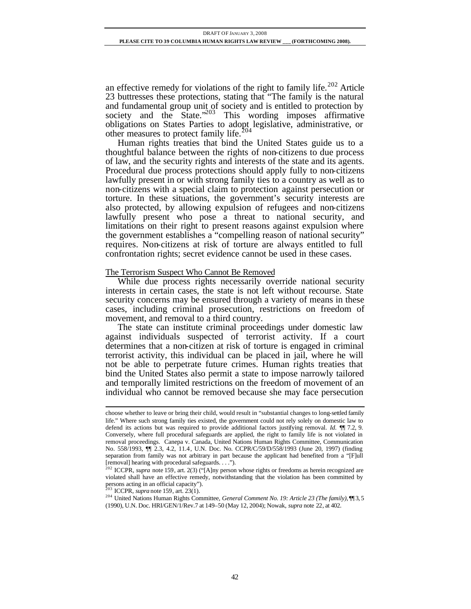an effective remedy for violations of the right to family life.<sup>202</sup> Article 23 buttresses these protections, stating that "The family is the natural and fundamental group unit of society and is entitled to protection by society and the State."<sup>203</sup> This wording imposes affirmative obligations on States Parties to adopt legislative, administrative, or other measures to protect family life.<sup>204</sup>

Human rights treaties that bind the United States guide us to a thoughtful balance between the rights of non-citizens to due process of law, and the security rights and interests of the state and its agents. Procedural due process protections should apply fully to non-citizens lawfully present in or with strong family ties to a country as well as to non-citizens with a special claim to protection against persecution or torture. In these situations, the government's security interests are also protected, by allowing expulsion of refugees and non-citizens lawfully present who pose a threat to national security, and limitations on their right to present reasons against expulsion where the government establishes a "compelling reason of national security" requires. Non-citizens at risk of torture are always entitled to full confrontation rights; secret evidence cannot be used in these cases.

#### The Terrorism Suspect Who Cannot Be Removed

While due process rights necessarily override national security interests in certain cases, the state is not left without recourse. State security concerns may be ensured through a variety of means in these cases, including criminal prosecution, restrictions on freedom of movement, and removal to a third country.

The state can institute criminal proceedings under domestic law against individuals suspected of terrorist activity. If a court determines that a non-citizen at risk of torture is engaged in criminal terrorist activity, this individual can be placed in jail, where he will not be able to perpetrate future crimes. Human rights treaties that bind the United States also permit a state to impose narrowly tailored and temporally limited restrictions on the freedom of movement of an individual who cannot be removed because she may face persecution

choose whether to leave or bring their child, would result in "substantial changes to long-settled family life." Where such strong family ties existed, the government could not rely solely on domestic law to defend its actions but was required to provide additional factors justifying removal. *Id.* ¶¶ 7.2, 9. Conversely, where full procedural safeguards are applied, the right to family life is not violated in removal proceedings. Canepa v. Canada, United Nations Human Rights Committee, Communication No. 558/1993, ¶¶ 2.3, 4.2, 11.4, U.N. Doc. No. CCPR/C/59/D/558/1993 (June 20, 1997) (finding separation from family was not arbitrary in part because the applicant had benefited from a "[F]ull [removal] hearing with procedural safeguards. . . .").

<sup>&</sup>lt;sup>202</sup> ICCPR, *supra* note 159, art. 2(3) ("[A]ny person whose rights or freedoms as herein recognized are violated shall have an effective remedy, notwithstanding that the violation has been committed by persons acting in an official capacity"). <sup>203</sup> ICCPR, *supra* note 159, art. 23(1).

<sup>&</sup>lt;sup>204</sup> United Nations Human Rights Committee, *General Comment No. 19: Article 23 (The family)*, 113, 5 (1990), U.N. Doc. HRI/GEN/1/Rev.7 at 149–50 (May 12, 2004); Nowak, *supra* note 22, at 402.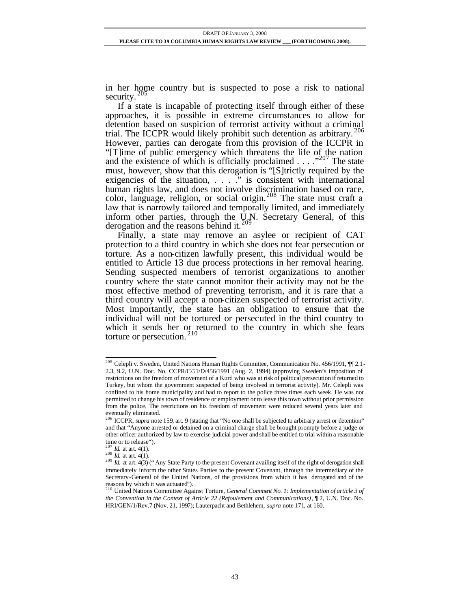in her home country but is suspected to pose a risk to national security.  $205$ 

If a state is incapable of protecting itself through either of these approaches, it is possible in extreme circumstances to allow for detention based on suspicion of terrorist activity without a criminal trial. The ICCPR would likely prohibit such detention as arbitrary.<sup>206</sup> However, parties can derogate from this provision of the ICCPR in "[T]ime of public emergency which threatens the life of the nation and the existence of which is officially proclaimed  $\ldots$  . . ...  $\frac{1}{207}$  The state must, however, show that this derogation is "[S]trictly required by the exigencies of the situation, . . . ." is consistent with international human rights law, and does not involve discrimination based on race, color, language, religion, or social origin.<sup>208</sup> The state must craft a law that is narrowly tailored and temporally limited, and immediately inform other parties, through the U.N. Secretary General, of this derogation and the reasons behind it.<sup>209</sup>

Finally, a state may remove an asylee or recipient of CAT protection to a third country in which she does not fear persecution or torture. As a non-citizen lawfully present, this individual would be entitled to Article 13 due process protections in her removal hearing. Sending suspected members of terrorist organizations to another country where the state cannot monitor their activity may not be the most effective method of preventing terrorism, and it is rare that a third country will accept a non-citizen suspected of terrorist activity. Most importantly, the state has an obligation to ensure that the individual will not be tortured or persecuted in the third country to which it sends her or returned to the country in which she fears torture or persecution.<sup>210</sup>

l <sup>205</sup> Celepli v. Sweden, United Nations Human Rights Committee, Communication No. 456/1991, 1. 2.1-2.3, 9.2, U.N. Doc. No. CCPR/C/51/D/456/1991 (Aug. 2, 1994) (approving Sweden's imposition of restrictions on the freedom of movement of a Kurd who was at risk of political persecution if returned to Turkey, but whom the government suspected of being involved in terrorist activity). Mr. Celepli was confined to his home municipality and had to report to the police three times each week. He was not permitted to change his town of residence or employment or to leave this town without prior permission from the police. The restrictions on his freedom of movement were reduced several years later and eventually eliminated.

<sup>&</sup>lt;sup>206</sup> ICCPR, *supra* note 159, art. 9 (stating that "No one shall be subjected to arbitrary arrest or detention" and that "Anyone arrested or detained on a criminal charge shall be brought prompty before a judge or other officer authorized by law to exercise judicial power and shall be entitled to trial within a reasonable time or to release").

 $^7$  *Id.* at art. 4(1).

<sup>208</sup> *Id.* at art. 4(1).

<sup>&</sup>lt;sup>209</sup> *Id.* at art. 4(3) ("Any State Party to the present Covenant availing itself of the right of derogation shall immediately inform the other States Parties to the present Covenant, through the intermediary of the Secretary-General of the United Nations, of the provisions from which it has derogated and of the reasons by which it was actuated"). <sup>210</sup> United Nations Committee Against Torture, *General Comment No. 1: Implementation of article 3 of* 

*the Convention in the Context of Article 22 (Refoulement and Communications)*, ¶ 2, U.N. Doc. No. HRI/GEN/1/Rev.7 (Nov. 21, 1997); Lauterpacht and Bethlehem, *supra* note 171, at 160.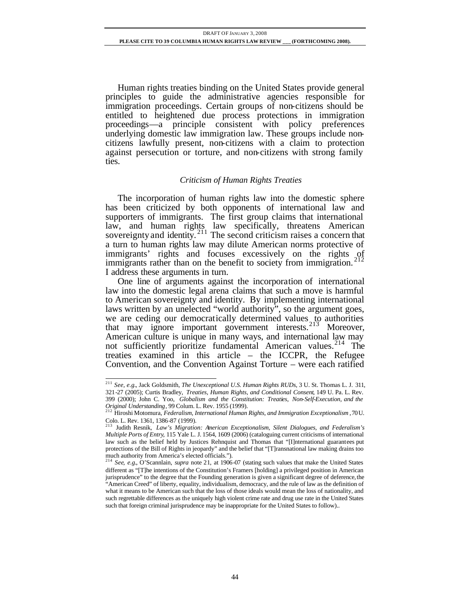Human rights treaties binding on the United States provide general principles to guide the administrative agencies responsible for immigration proceedings. Certain groups of non-citizens should be entitled to heightened due process protections in immigration proceedings—a principle consistent with policy preferences underlying domestic law immigration law. These groups include noncitizens lawfully present, non-citizens with a claim to protection against persecution or torture, and non-citizens with strong family ties.

#### *Criticism of Human Rights Treaties*

The incorporation of human rights law into the domestic sphere has been criticized by both opponents of international law and supporters of immigrants. The first group claims that international law, and human rights law specifically, threatens American sovereignty and identity.<sup>211</sup> The second criticism raises a concern that a turn to human rights law may dilute American norms protective of immigrants' rights and focuses excessively on the rights of immigrants rather than on the benefit to society from immigration.<sup>212</sup> I address these arguments in turn.

One line of arguments against the incorporation of international law into the domestic legal arena claims that such a move is harmful to American sovereignty and identity. By implementing international laws written by an unelected "world authority", so the argument goes, we are ceding our democratically determined values to authorities that may ignore important government interests. <sup>213</sup> Moreover, American culture is unique in many ways, and international law may not sufficiently prioritize fundamental American values.<sup>214</sup> The treaties examined in this article – the ICCPR, the Refugee Convention, and the Convention Against Torture – were each ratified

l <sup>211</sup> *See, e.g.*, Jack Goldsmith, *The Unexceptional U.S. Human Rights RUDs*, 3 U. St. Thomas L. J. 311, 321-27 (2005); Curtis Bradley, *Treaties, Human Rights, and Conditional Consent*, 149 U. Pa. L. Rev. 399 (2000); John C. Yoo, *Globalism and the Constitution: Treaties, Non-Self-Execution, and the* 

*Original Understanding*, 99 Colum. L. Rev. 1955 (1999). <sup>212</sup> Hiroshi Motomura, *Federalism, International Human Rights, and Immigration Exceptionalism* , 70 U. Colo. L. Rev. 1361, 1386-87 (1999).

<sup>213</sup> Judith Resnik, *Law's Migration: American Exceptionalism, Silent Dialogues, and Federalism's Multiple Ports of Entry*, 115 Yale L. J. 1564, 1609 (2006) (cataloguing current criticisms of international law such as the belief held by Justices Rehnquist and Thomas that "[I]nternational guarantees put protections of the Bill of Rights in jeopardy" and the belief that "[T]ransnational law making drains too much authority from America's elected officials."). <sup>214</sup> *See*, *e.g.*, O'Scannlain, *supra* note 21, at 1906-07 (stating such values that make the United States

different as "[T]he intentions of the Constitution's Framers [holding] a privileged position in American jurisprudence" to the degree that the Founding generation is given a significant degree of deference, the "American Creed" of liberty, equality, individualism, democracy, and the rule of law as the definition of what it means to be American such that the loss of those ideals would mean the loss of nationality, and such regrettable differences as the uniquely high violent crime rate and drug use rate in the United States such that foreign criminal jurisprudence may be inappropriate for the United States to follow)..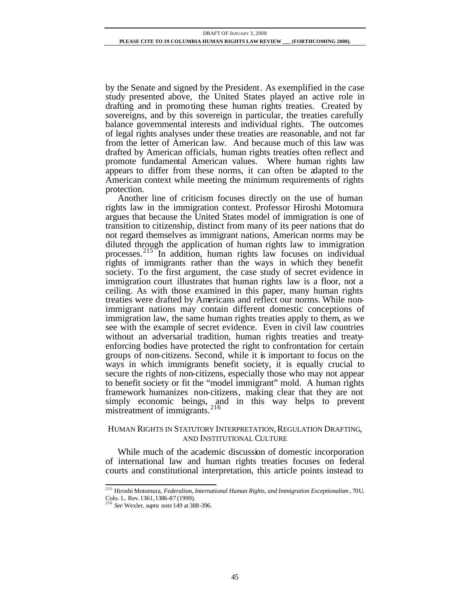by the Senate and signed by the President. As exemplified in the case study presented above, the United States played an active role in drafting and in promoting these human rights treaties. Created by sovereigns, and by this sovereign in particular, the treaties carefully balance governmental interests and individual rights. The outcomes of legal rights analyses under these treaties are reasonable, and not far from the letter of American law. And because much of this law was drafted by American officials, human rights treaties often reflect and promote fundamental American values. Where human rights law appears to differ from these norms, it can often be adapted to the American context while meeting the minimum requirements of rights protection.

Another line of criticism focuses directly on the use of human rights law in the immigration context. Professor Hiroshi Motomura argues that because the United States model of immigration is one of transition to citizenship, distinct from many of its peer nations that do not regard themselves as immigrant nations, American norms may be diluted through the application of human rights law to immigration processes.<sup>215</sup> In addition, human rights law focuses on individual rights of immigrants rather than the ways in which they benefit society. To the first argument, the case study of secret evidence in immigration court illustrates that human rights law is a floor, not a ceiling. As with those examined in this paper, many human rights treaties were drafted by Americans and reflect our norms. While nonimmigrant nations may contain different domestic conceptions of immigration law, the same human rights treaties apply to them, as we see with the example of secret evidence. Even in civil law countries without an adversarial tradition, human rights treaties and treatyenforcing bodies have protected the right to confrontation for certain groups of non-citizens. Second, while it is important to focus on the ways in which immigrants benefit society, it is equally crucial to secure the rights of non-citizens, especially those who may not appear to benefit society or fit the "model immigrant" mold. A human rights framework humanizes non-citizens, making clear that they are not simply economic beings, and in this way helps to prevent mistreatment of immigrants  $216$ mistreatment of immigrants.<sup>2</sup>

## HUMAN RIGHTS IN STATUTORY INTERPRETATION,REGULATION DRAFTING, AND INSTITUTIONAL CULTURE

While much of the academic discussion of domestic incorporation of international law and human rights treaties focuses on federal courts and constitutional interpretation, this article points instead to

<sup>215</sup> Hiroshi Motomura, *Federalism, International Human Rights, and Immigration Exceptionalism* , 70 U. Colo. L. Rev.1361,1386-87 (1999). <sup>216</sup> *See* Wexler, *supra* note 149 at 388-396.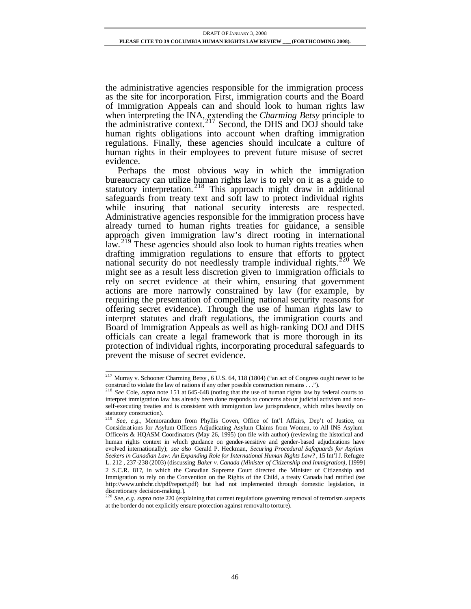the administrative agencies responsible for the immigration process as the site for incorporation. First, immigration courts and the Board of Immigration Appeals can and should look to human rights law when interpreting the INA, extending the *Charming Betsy* principle to the administrative context.<sup>217</sup> Second, the DHS and DOJ should take human rights obligations into account when drafting immigration regulations. Finally, these agencies should inculcate a culture of human rights in their employees to prevent future misuse of secret evidence.

Perhaps the most obvious way in which the immigration bureaucracy can utilize human rights law is to rely on it as a guide to statutory interpretation.<sup>218</sup> This approach might draw in additional safeguards from treaty text and soft law to protect individual rights while insuring that national security interests are respected. Administrative agencies responsible for the immigration process have already turned to human rights treaties for guidance, a sensible approach given immigration law's direct rooting in international law.<sup>219</sup> These agencies should also look to human rights treaties when drafting immigration regulations to ensure that efforts to protect national security do not needlessly trample individual rights.<sup>220</sup> We might see as a result less discretion given to immigration officials to rely on secret evidence at their whim, ensuring that government actions are more narrowly constrained by law (for example, by requiring the presentation of compelling national security reasons for offering secret evidence). Through the use of human rights law to interpret statutes and draft regulations, the immigration courts and Board of Immigration Appeals as well as high-ranking DOJ and DHS officials can create a legal framework that is more thorough in its protection of individual rights, incorporating procedural safeguards to prevent the misuse of secret evidence.

l <sup>217</sup> Murray v. Schooner Charming Betsy, 6 U.S. 64, 118 (1804) ("an act of Congress ought never to be construed to violate the law of nations if any other possible construction remains . . .").

<sup>218</sup> *See* Cole, *supra* note 151 at 645-648 (noting that the use of human rights law by federal courts to interpret immigration law has already been done responds to concerns abo ut judicial activism and nonself-executing treaties and is consistent with immigration law jurisprudence, which relies heavily on statutory construction).

<sup>219</sup> *See, e.g.*, Memorandum from Phyllis Coven, Office of Int'l Affairs, Dep't of Justice, on Considerat ions for Asylum Officers Adjudicating Asylum Claims from Women, to All INS Asylum Office/rs & HQASM Coordinators (May 26, 1995) (on file with author) (reviewing the historical and human rights context in which guidance on gender-sensitive and gender-based adjudications have evolved internationally); *see also* Gerald P. Heckman, *Securing Procedural Safeguards for Asylum Seekers in Canadian Law: An Expanding Role for International Human Rights Law?* , 15 Int'l J. Refugee L. 212 , 237-238 (2003) (discussing *Baker v. Canada (Minister of Citizenship and Immigration)*, [1999] 2 S.C.R. 817, in which the Canadian Supreme Court directed the Minister of Citizenship and Immigration to rely on the Convention on the Rights of the Child, a treaty Canada had ratified (*see*  http://www.unhchr.ch/pdf/report.pdf) but had not implemented through domestic legislation, in discretionary decision-making.).

<sup>220</sup> *See, e.g. supra* note 220 (explaining that current regulations governing removal of terrorism suspects at the border do not explicitly ensure protection against removal to torture).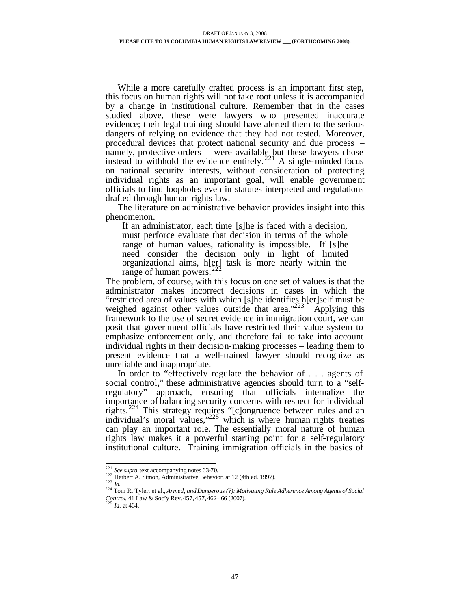While a more carefully crafted process is an important first step, this focus on human rights will not take root unless it is accompanied by a change in institutional culture. Remember that in the cases studied above, these were lawyers who presented inaccurate evidence; their legal training should have alerted them to the serious dangers of relying on evidence that they had not tested. Moreover, procedural devices that protect national security and due process – namely, protective orders – were available but these lawyers chose instead to withhold the evidence entirely.<sup>221</sup> A single-minded focus on national security interests, without consideration of protecting individual rights as an important goal, will enable government officials to find loopholes even in statutes interpreted and regulations drafted through human rights law.

The literature on administrative behavior provides insight into this phenomenon.

If an administrator, each time [s]he is faced with a decision, must perforce evaluate that decision in terms of the whole range of human values, rationality is impossible. If [s]he need consider the decision only in light of limited organizational aims, h[er] task is more nearly within the range of human powers. $\frac{2}{2}$ 

The problem, of course, with this focus on one set of values is that the administrator makes incorrect decisions in cases in which the "restricted area of values with which [s]he identifies h[er]self must be weighed against other values outside that area."<sup>223</sup> Applying this framework to the use of secret evidence in immigration court, we can posit that government officials have restricted their value system to emphasize enforcement only, and therefore fail to take into account individual rights in their decision-making processes – leading them to present evidence that a well-trained lawyer should recognize as unreliable and inappropriate.

In order to "effectively regulate the behavior of . . . agents of social control," these administrative agencies should turn to a "selfregulatory" approach, ensuring that officials internalize the importance of balancing security concerns with respect for individual rights.<sup>224</sup> This strategy requires "[c]ongruence between rules and an individual's moral values,"<sup>225</sup> which is where human rights treaties can play an important role. The essentially moral nature of human rights law makes it a powerful starting point for a self-regulatory institutional culture. Training immigration officials in the basics of

<sup>&</sup>lt;sup>221</sup> See supra text accompanying notes 63-70.

<sup>&</sup>lt;sup>222</sup> Herbert A. Simon, Administrative Behavior, at 12 (4th ed. 1997).

<sup>223</sup> *Id.*

<sup>224</sup> Tom R. Tyler, et al., *Armed, and Dangerous (?): Motivating Rule Adherence Among Agents of Social Control*, 41 Law & Soc'y Rev.457,457,462– 66 (2007). <sup>225</sup> *Id.* at 464*.*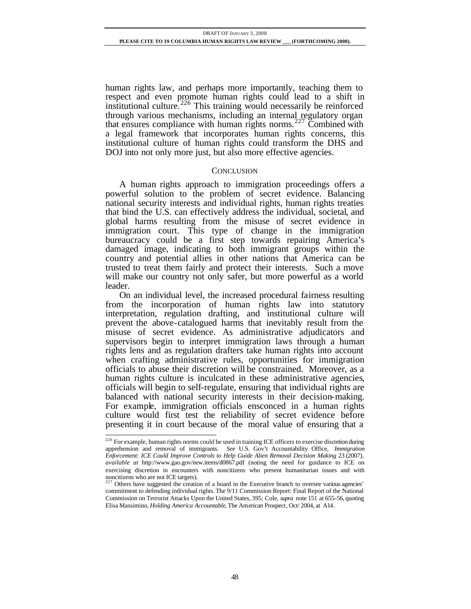human rights law, and perhaps more importantly, teaching them to respect and even promote human rights could lead to a shift in institutional culture.<sup>226</sup> This training would necessarily be reinforced through various mechanisms, including an internal regulatory organ that ensures compliance with human rights norms.<sup>227</sup> Combined with a legal framework that incorporates human rights concerns, this institutional culture of human rights could transform the DHS and DOJ into not only more just, but also more effective agencies.

#### **CONCLUSION**

A human rights approach to immigration proceedings offers a powerful solution to the problem of secret evidence. Balancing national security interests and individual rights, human rights treaties that bind the U.S. can effectively address the individual, societal, and global harms resulting from the misuse of secret evidence in immigration court. This type of change in the immigration bureaucracy could be a first step towards repairing America's damaged image, indicating to both immigrant groups within the country and potential allies in other nations that America can be trusted to treat them fairly and protect their interests. Such a move will make our country not only safer, but more powerful as a world leader.

On an individual level, the increased procedural fairness resulting from the incorporation of human rights law into statutory interpretation, regulation drafting, and institutional culture will prevent the above-catalogued harms that inevitably result from the misuse of secret evidence. As administrative adjudicators and supervisors begin to interpret immigration laws through a human rights lens and as regulation drafters take human rights into account when crafting administrative rules, opportunities for immigration officials to abuse their discretion will be constrained. Moreover, as a human rights culture is inculcated in these administrative agencies, officials will begin to self-regulate, ensuring that individual rights are balanced with national security interests in their decision-making. For example, immigration officials ensconced in a human rights culture would first test the reliability of secret evidence before presenting it in court because of the moral value of ensuring that a

 $226$  For example, human rights norms could be used in training ICE officers to exercise discretion during apprehension and removal of immigrants. *See* U.S. Gov't Accountability Office, *Immigration Enforcement: ICE Could Improve Controls to Help Guide Alien Removal Decision Making* 23 (2007), *available at* http://www.gao.gov/new.items/d0867.pdf (noting the need for guidance to ICE on exercising discretion in encounters with noncitizens who present humanitarian issues and with noncitizens who are not ICE targets).<br> $^{227}$  Others 1.

<sup>&</sup>lt;sup>7</sup> Others have suggested the creation of a board in the Executive branch to oversee various agencies' commitment to defending individual rights. The 9/11 Commission Report: Final Report of the National Commission on Terrorist Attacks Upon the United States, 395; Cole, *supra* note 151 at 655-56, quoting Elisa Massimino, *Holding America Accountable*, The American Prospect, Oct/ 2004, at A14.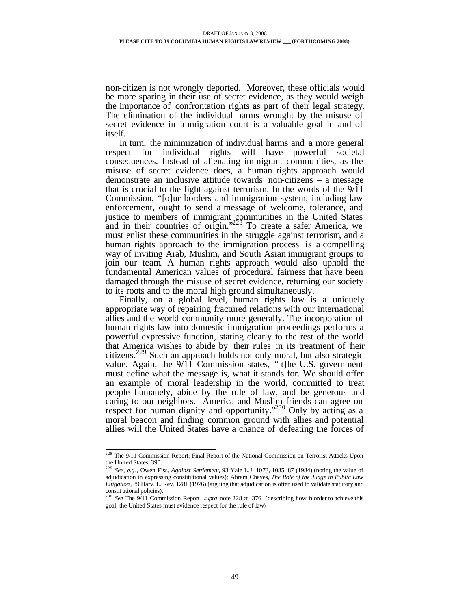non-citizen is not wrongly deported. Moreover, these officials would be more sparing in their use of secret evidence, as they would weigh the importance of confrontation rights as part of their legal strategy. The elimination of the individual harms wrought by the misuse of secret evidence in immigration court is a valuable goal in and of itself.

In turn, the minimization of individual harms and a more general respect for individual rights will have powerful societal consequences. Instead of alienating immigrant communities, as the misuse of secret evidence does, a human rights approach would demonstrate an inclusive attitude towards non-citizens – a message that is crucial to the fight against terrorism. In the words of the 9/11 Commission, "[o]ur borders and immigration system, including law enforcement, ought to send a message of welcome, tolerance, and justice to members of immigrant communities in the United States and in their countries of origin."<sup>228</sup> To create a safer America, we must enlist these communities in the struggle against terrorism, and a human rights approach to the immigration process is a compelling way of inviting Arab, Muslim, and South Asian immigrant groups to join our team. A human rights approach would also uphold the fundamental American values of procedural fairness that have been damaged through the misuse of secret evidence, returning our society to its roots and to the moral high ground simultaneously.

Finally, on a global level, human rights law is a uniquely appropriate way of repairing fractured relations with our international allies and the world community more generally. The incorporation of human rights law into domestic immigration proceedings performs a powerful expressive function, stating clearly to the rest of the world that America wishes to abide by their rules in its treatment of their citizens.<sup>229</sup> Such an approach holds not only moral, but also strategic value. Again, the 9/11 Commission states, "[t]he U.S. government must define what the message is, what it stands for. We should offer an example of moral leadership in the world, committed to treat people humanely, abide by the rule of law, and be generous and caring to our neighbors. America and Muslim friends can agree on respect for human dignity and opportunity."<sup>230</sup> Only by acting as a moral beacon and finding common ground with allies and potential allies will the United States have a chance of defeating the forces of

l <sup>228</sup> The 9/11 Commission Report: Final Report of the National Commission on Terrorist Attacks Upon the United States, 390.

<sup>229</sup> *See, e.g.*, Owen Fiss, *Against Settlement*, 93 Yale L.J. 1073, 1085–87 (1984) (noting the value of adjudication in expressing constitutional values); Abram Chayes, *The Role of the Judge in Public Law Litigation*, 89 Harv. L. Rev. 1281 (1976) (arguing that adjudication is often used to validate statutory and constit utional policies).

<sup>&</sup>lt;sup>230</sup> See The 9/11 Commission Report, *supra* note 228 at 376 (describing how in order to achieve this goal, the United States must evidence respect for the rule of law).